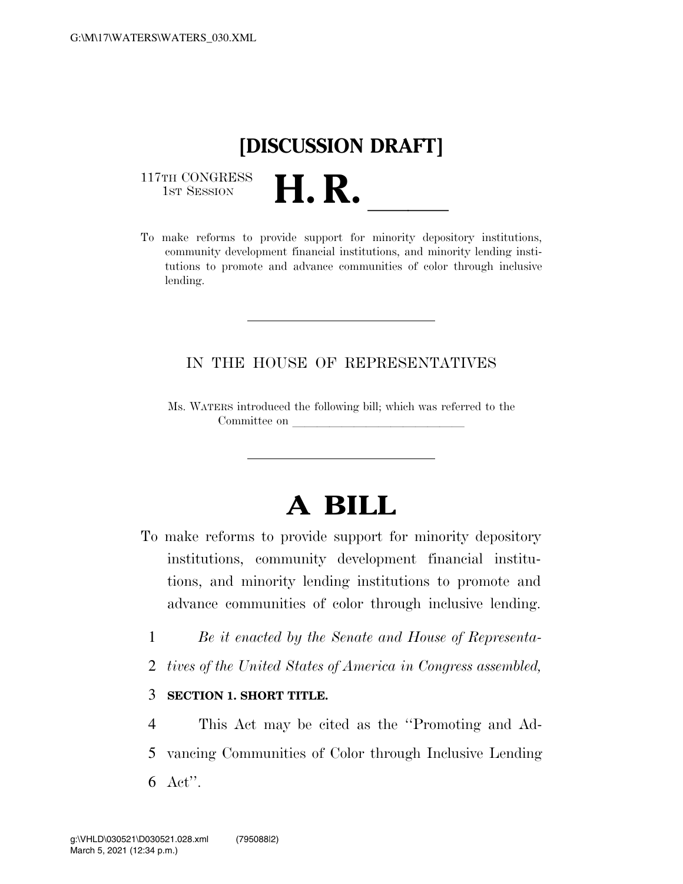## **[DISCUSSION DRAFT]**

117TH CONGRESS<br>1st Session

117TH CONGRESS<br>1st SESSION **H. R.** <u>Indices of the support for minority depository institutions,</u> community development financial institutions, and minority lending institutions to promote and advance communities of color through inclusive lending.

#### IN THE HOUSE OF REPRESENTATIVES

Ms. WATERS introduced the following bill; which was referred to the Committee on

# **A BILL**

- To make reforms to provide support for minority depository institutions, community development financial institutions, and minority lending institutions to promote and advance communities of color through inclusive lending.
	- 1 *Be it enacted by the Senate and House of Representa-*
	- 2 *tives of the United States of America in Congress assembled,*

#### 3 **SECTION 1. SHORT TITLE.**

4 This Act may be cited as the ''Promoting and Ad-5 vancing Communities of Color through Inclusive Lending 6 Act''.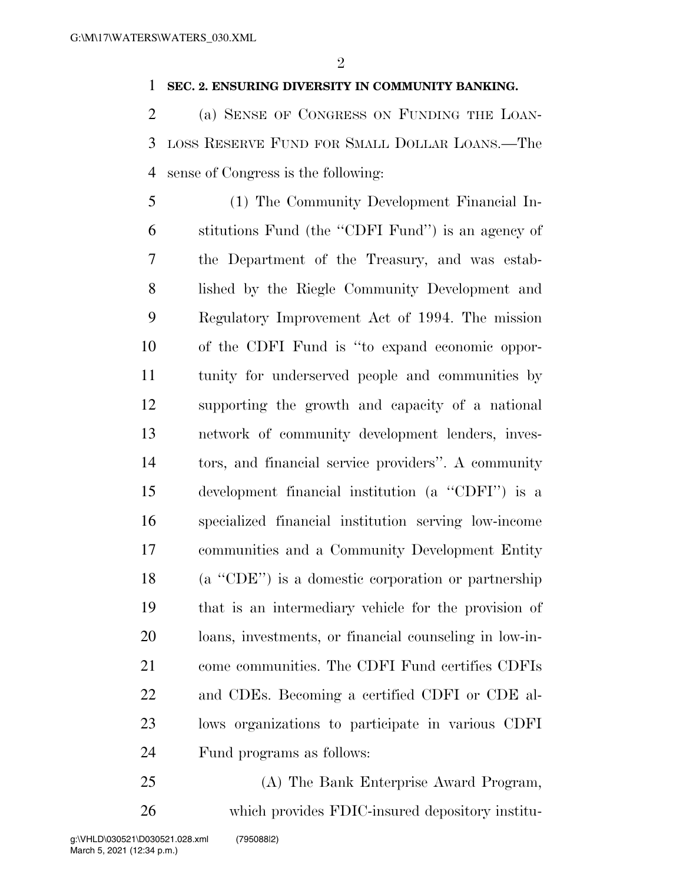#### **SEC. 2. ENSURING DIVERSITY IN COMMUNITY BANKING.**

 (a) SENSE OF CONGRESS ON FUNDING THE LOAN- LOSS RESERVE FUND FOR SMALL DOLLAR LOANS.—The sense of Congress is the following:

 (1) The Community Development Financial In- stitutions Fund (the ''CDFI Fund'') is an agency of the Department of the Treasury, and was estab- lished by the Riegle Community Development and Regulatory Improvement Act of 1994. The mission of the CDFI Fund is ''to expand economic oppor- tunity for underserved people and communities by supporting the growth and capacity of a national network of community development lenders, inves- tors, and financial service providers''. A community development financial institution (a ''CDFI'') is a specialized financial institution serving low-income communities and a Community Development Entity (a ''CDE'') is a domestic corporation or partnership that is an intermediary vehicle for the provision of loans, investments, or financial counseling in low-in- come communities. The CDFI Fund certifies CDFIs and CDEs. Becoming a certified CDFI or CDE al- lows organizations to participate in various CDFI Fund programs as follows:

 (A) The Bank Enterprise Award Program, which provides FDIC-insured depository institu-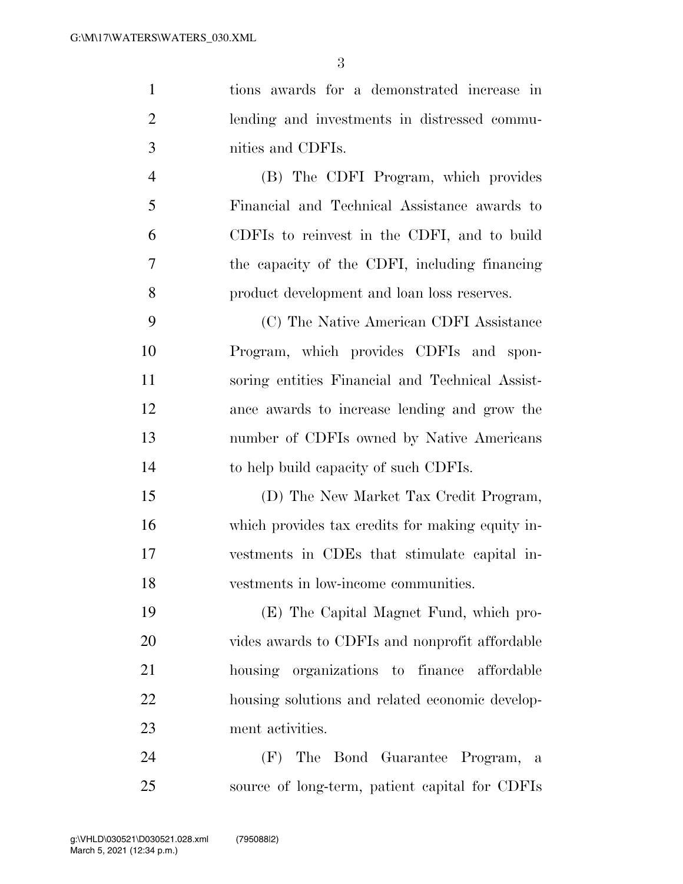| $\mathbf{1}$   | tions awards for a demonstrated increase in      |
|----------------|--------------------------------------------------|
| $\overline{2}$ | lending and investments in distressed commu-     |
| 3              | nities and CDFIs.                                |
| $\overline{4}$ | (B) The CDFI Program, which provides             |
| 5              | Financial and Technical Assistance awards to     |
| 6              | CDFIs to reinvest in the CDFI, and to build      |
| 7              | the capacity of the CDFI, including financing    |
| 8              | product development and loan loss reserves.      |
| 9              | (C) The Native American CDFI Assistance          |
| 10             | Program, which provides CDFIs and spon-          |
| 11             | soring entities Financial and Technical Assist-  |
| 12             | ance awards to increase lending and grow the     |
| 13             | number of CDFIs owned by Native Americans        |
| 14             | to help build capacity of such CDFIs.            |
| 15             | (D) The New Market Tax Credit Program,           |
| 16             | which provides tax credits for making equity in- |
| 17             | vestments in CDEs that stimulate capital in-     |
| 18             | vestments in low-income communities.             |
| 19             | (E) The Capital Magnet Fund, which pro-          |
| 20             | vides awards to CDFIs and nonprofit affordable   |
| 21             | housing organizations to finance affordable      |
| <u>22</u>      | housing solutions and related economic develop-  |
| 23             | ment activities.                                 |
| 24             | (F) The Bond Guarantee Program, a                |
| $25\,$         | source of long-term, patient capital for CDFIs   |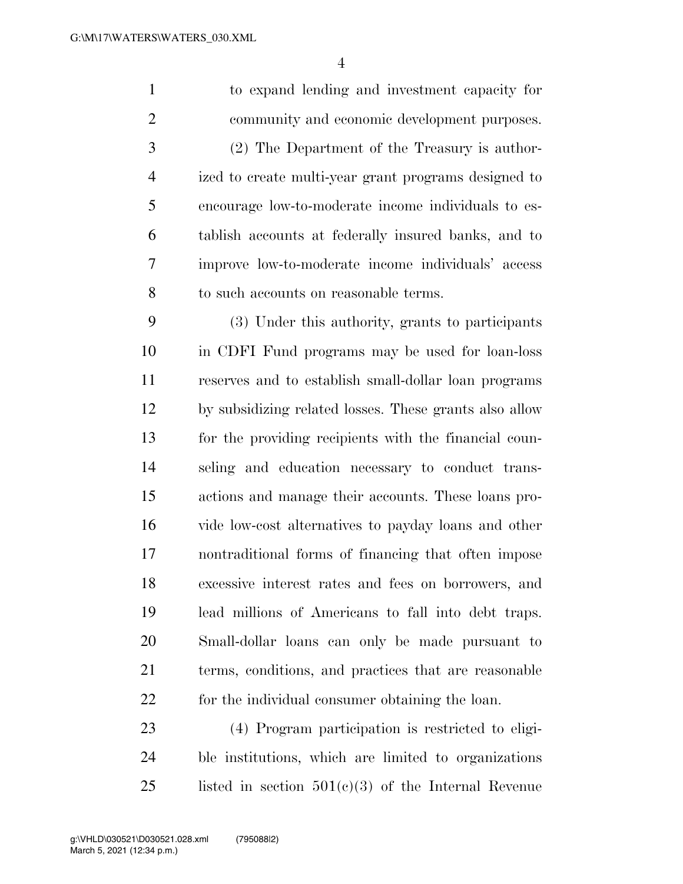to expand lending and investment capacity for community and economic development purposes. (2) The Department of the Treasury is author- ized to create multi-year grant programs designed to encourage low-to-moderate income individuals to es- tablish accounts at federally insured banks, and to improve low-to-moderate income individuals' access to such accounts on reasonable terms. (3) Under this authority, grants to participants

 in CDFI Fund programs may be used for loan-loss reserves and to establish small-dollar loan programs by subsidizing related losses. These grants also allow for the providing recipients with the financial coun- seling and education necessary to conduct trans- actions and manage their accounts. These loans pro- vide low-cost alternatives to payday loans and other nontraditional forms of financing that often impose excessive interest rates and fees on borrowers, and lead millions of Americans to fall into debt traps. Small-dollar loans can only be made pursuant to terms, conditions, and practices that are reasonable for the individual consumer obtaining the loan.

 (4) Program participation is restricted to eligi- ble institutions, which are limited to organizations 25 listed in section  $501(c)(3)$  of the Internal Revenue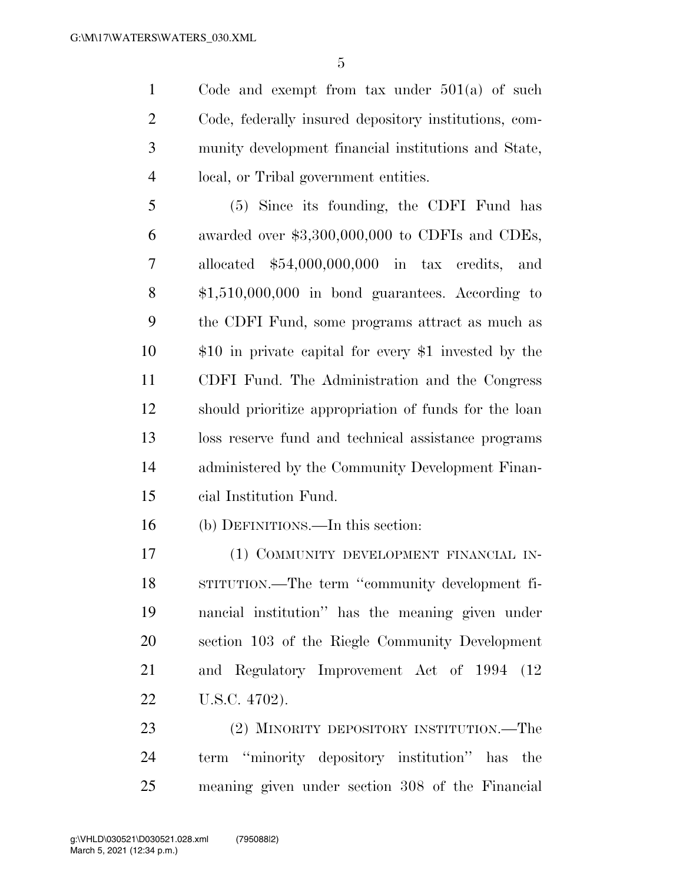Code and exempt from tax under 501(a) of such Code, federally insured depository institutions, com- munity development financial institutions and State, local, or Tribal government entities.

 (5) Since its founding, the CDFI Fund has awarded over \$3,300,000,000 to CDFIs and CDEs, allocated \$54,000,000,000 in tax credits, and \$1,510,000,000 in bond guarantees. According to the CDFI Fund, some programs attract as much as \$10 in private capital for every \$1 invested by the CDFI Fund. The Administration and the Congress should prioritize appropriation of funds for the loan loss reserve fund and technical assistance programs administered by the Community Development Finan-cial Institution Fund.

(b) DEFINITIONS.—In this section:

 (1) COMMUNITY DEVELOPMENT FINANCIAL IN- STITUTION.—The term ''community development fi- nancial institution'' has the meaning given under section 103 of the Riegle Community Development and Regulatory Improvement Act of 1994 (12 U.S.C. 4702).

 (2) MINORITY DEPOSITORY INSTITUTION.—The term ''minority depository institution'' has the meaning given under section 308 of the Financial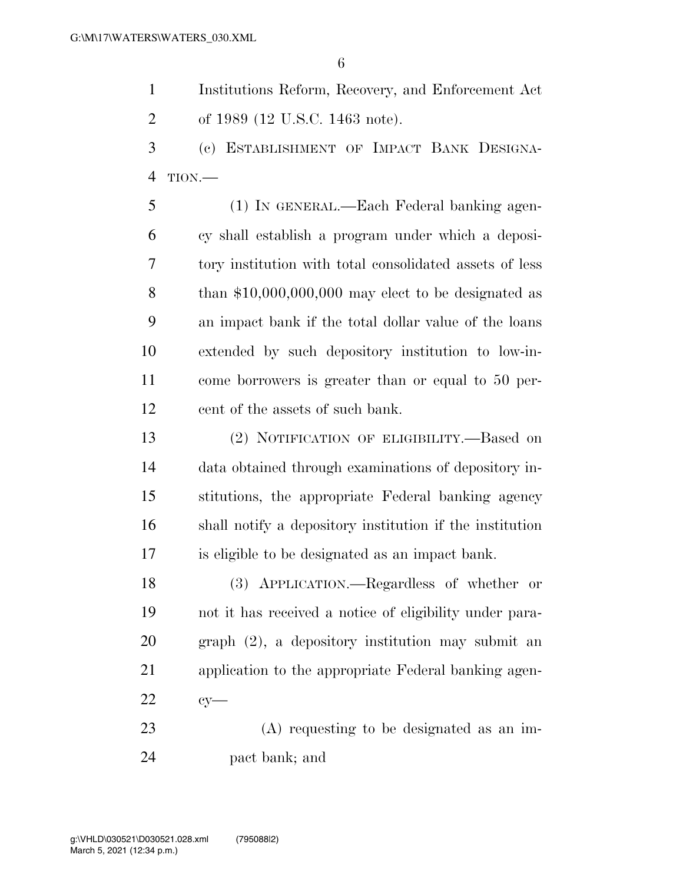Institutions Reform, Recovery, and Enforcement Act of 1989 (12 U.S.C. 1463 note).

 (c) ESTABLISHMENT OF IMPACT BANK DESIGNA-TION.—

 (1) IN GENERAL.—Each Federal banking agen- cy shall establish a program under which a deposi- tory institution with total consolidated assets of less than \$10,000,000,000 may elect to be designated as an impact bank if the total dollar value of the loans extended by such depository institution to low-in- come borrowers is greater than or equal to 50 per-cent of the assets of such bank.

 (2) NOTIFICATION OF ELIGIBILITY.—Based on data obtained through examinations of depository in- stitutions, the appropriate Federal banking agency shall notify a depository institution if the institution is eligible to be designated as an impact bank.

 (3) APPLICATION.—Regardless of whether or not it has received a notice of eligibility under para- graph (2), a depository institution may submit an application to the appropriate Federal banking agen-cy—

 (A) requesting to be designated as an im-pact bank; and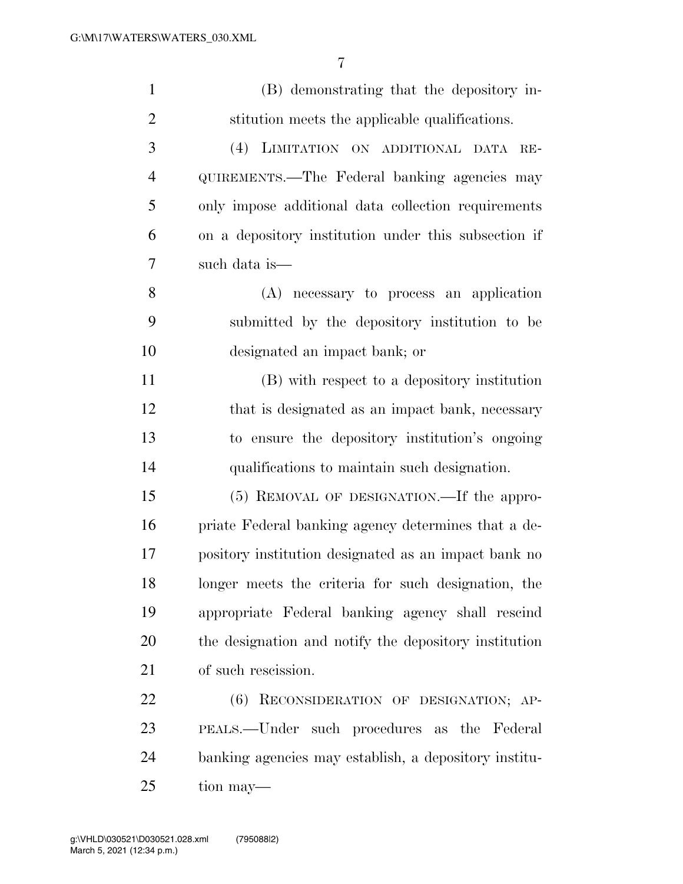| $\mathbf{1}$   | (B) demonstrating that the depository in-             |
|----------------|-------------------------------------------------------|
| $\overline{2}$ | stitution meets the applicable qualifications.        |
| 3              | (4) LIMITATION ON ADDITIONAL DATA RE-                 |
| $\overline{4}$ | QUIREMENTS.—The Federal banking agencies may          |
| 5              | only impose additional data collection requirements   |
| 6              | on a depository institution under this subsection if  |
| 7              | such data is—                                         |
| 8              | (A) necessary to process an application               |
| 9              | submitted by the depository institution to be         |
| 10             | designated an impact bank; or                         |
| 11             | (B) with respect to a depository institution          |
| 12             | that is designated as an impact bank, necessary       |
| 13             | to ensure the depository institution's ongoing        |
| 14             | qualifications to maintain such designation.          |
| 15             | (5) REMOVAL OF DESIGNATION.—If the appro-             |
| 16             | priate Federal banking agency determines that a de-   |
| 17             | pository institution designated as an impact bank no  |
| 18             | longer meets the criteria for such designation, the   |
| 19             | appropriate Federal banking agency shall rescind      |
| 20             | the designation and notify the depository institution |
| 21             | of such rescission.                                   |
| 22             | (6) RECONSIDERATION OF DESIGNATION; AP-               |
| 23             | PEALS.—Under such procedures as the Federal           |
| 24             | banking agencies may establish, a depository institu- |
| 25             | tion may—                                             |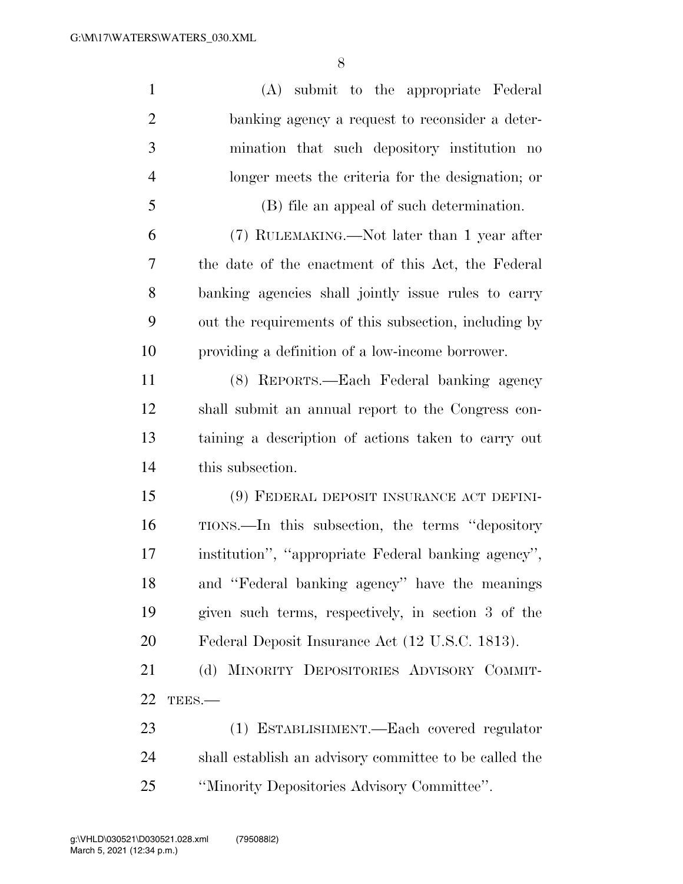| $\mathbf{1}$   | (A) submit to the appropriate Federal                  |
|----------------|--------------------------------------------------------|
| $\overline{2}$ | banking agency a request to reconsider a deter-        |
| 3              | mination that such depository institution no           |
| $\overline{4}$ | longer meets the criteria for the designation; or      |
| 5              | (B) file an appeal of such determination.              |
| 6              | (7) RULEMAKING.—Not later than 1 year after            |
| 7              | the date of the enactment of this Act, the Federal     |
| 8              | banking agencies shall jointly issue rules to carry    |
| 9              | out the requirements of this subsection, including by  |
| 10             | providing a definition of a low-income borrower.       |
| 11             | (8) REPORTS.—Each Federal banking agency               |
| 12             | shall submit an annual report to the Congress con-     |
| 13             | taining a description of actions taken to carry out    |
| 14             | this subsection.                                       |
| 15             | (9) FEDERAL DEPOSIT INSURANCE ACT DEFINI-              |
| 16             | TIONS.—In this subsection, the terms "depository"      |
| 17             | institution", "appropriate Federal banking agency",    |
| 18             | and "Federal banking agency" have the meanings         |
| 19             | given such terms, respectively, in section 3 of the    |
| 20             | Federal Deposit Insurance Act (12 U.S.C. 1813).        |
| 21             | (d) MINORITY DEPOSITORIES ADVISORY COMMIT-             |
| 22             | TEES.-                                                 |
| 23             | (1) ESTABLISHMENT.—Each covered regulator              |
| 24             | shall establish an advisory committee to be called the |
| 25             | "Minority Depositories Advisory Committee".            |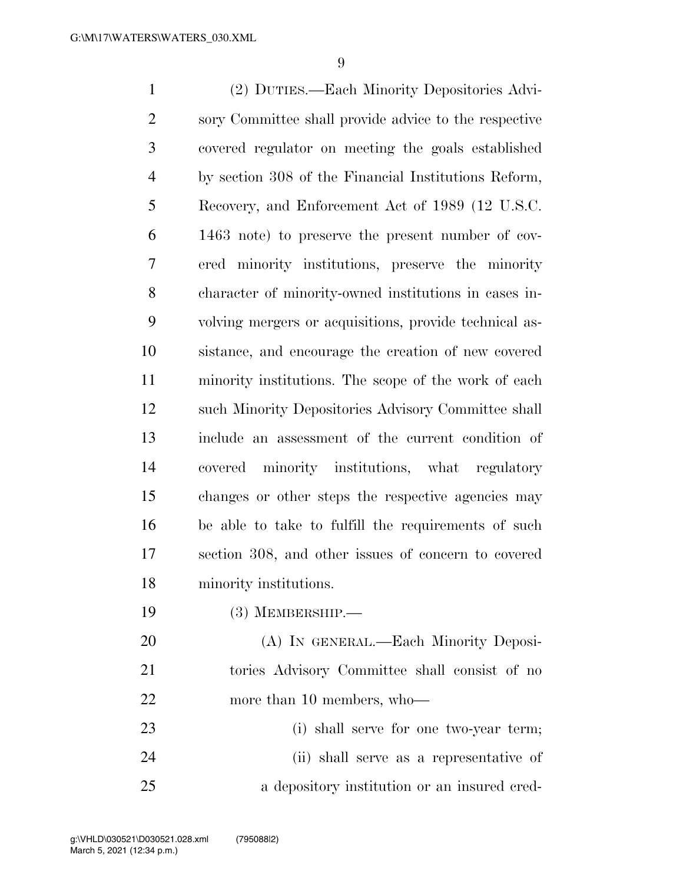(2) DUTIES.—Each Minority Depositories Advi- sory Committee shall provide advice to the respective covered regulator on meeting the goals established by section 308 of the Financial Institutions Reform, Recovery, and Enforcement Act of 1989 (12 U.S.C. 1463 note) to preserve the present number of cov- ered minority institutions, preserve the minority character of minority-owned institutions in cases in- volving mergers or acquisitions, provide technical as- sistance, and encourage the creation of new covered minority institutions. The scope of the work of each such Minority Depositories Advisory Committee shall include an assessment of the current condition of covered minority institutions, what regulatory changes or other steps the respective agencies may be able to take to fulfill the requirements of such section 308, and other issues of concern to covered minority institutions. (3) MEMBERSHIP.— (A) IN GENERAL.—Each Minority Deposi- tories Advisory Committee shall consist of no 22 more than 10 members, who

 (i) shall serve for one two-year term; (ii) shall serve as a representative of a depository institution or an insured cred-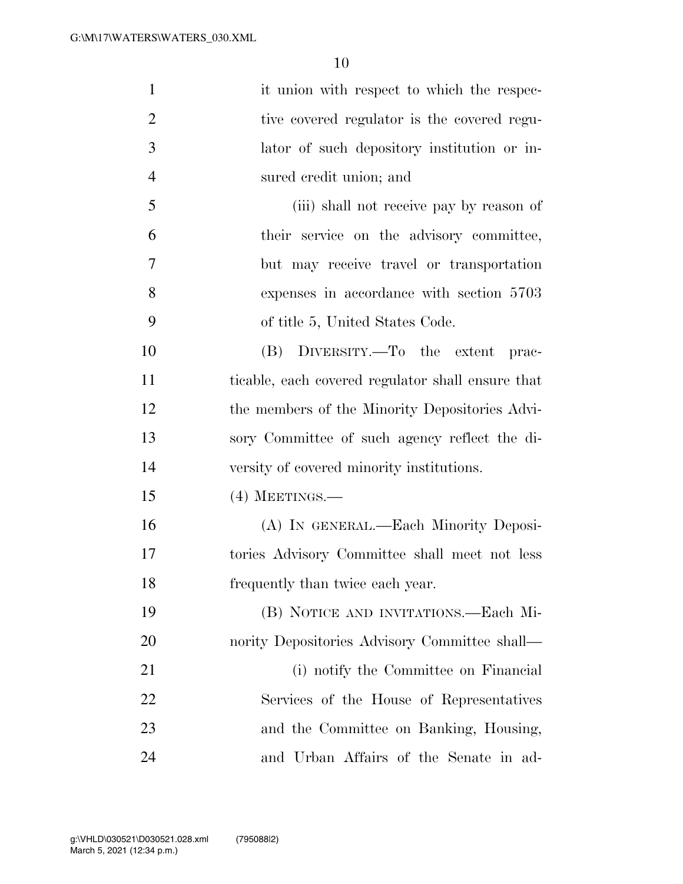| $\mathbf{1}$   | it union with respect to which the respec-        |
|----------------|---------------------------------------------------|
| $\overline{2}$ | tive covered regulator is the covered regu-       |
| 3              | lator of such depository institution or in-       |
| $\overline{4}$ | sured credit union; and                           |
| 5              | (iii) shall not receive pay by reason of          |
| 6              | their service on the advisory committee,          |
| 7              | but may receive travel or transportation          |
| 8              | expenses in accordance with section 5703          |
| 9              | of title 5, United States Code.                   |
| 10             | (B) DIVERSITY.—To the extent prac-                |
| 11             | ticable, each covered regulator shall ensure that |
| 12             | the members of the Minority Depositories Advi-    |
| 13             | sory Committee of such agency reflect the di-     |
| 14             | versity of covered minority institutions.         |
| 15             | $(4)$ MEETINGS.—                                  |
| 16             | (A) IN GENERAL.—Each Minority Deposi-             |
| 17             | tories Advisory Committee shall meet not less     |
| 18             | frequently than twice each year.                  |
| 19             | (B) NOTICE AND INVITATIONS.—Each Mi-              |
| 20             | nority Depositories Advisory Committee shall—     |
| 21             | (i) notify the Committee on Financial             |
| 22             | Services of the House of Representatives          |
| 23             | and the Committee on Banking, Housing,            |
| 24             | and Urban Affairs of the Senate in ad-            |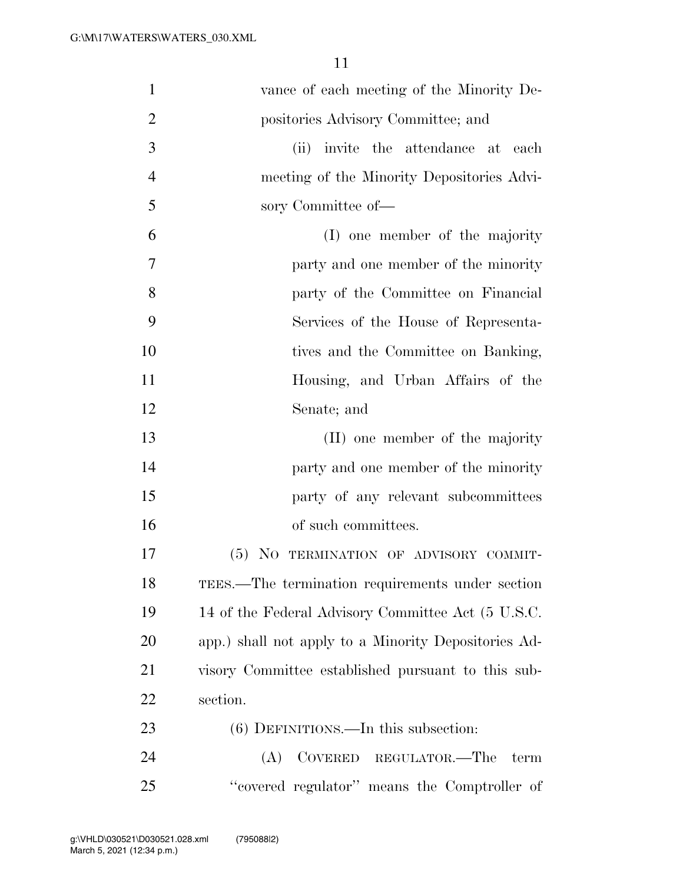| 1              | vance of each meeting of the Minority De-            |
|----------------|------------------------------------------------------|
| $\overline{2}$ | positories Advisory Committee; and                   |
| 3              | (ii) invite the attendance at each                   |
| $\overline{4}$ | meeting of the Minority Depositories Advi-           |
| 5              | sory Committee of-                                   |
| 6              | (I) one member of the majority                       |
| 7              | party and one member of the minority                 |
| 8              | party of the Committee on Financial                  |
| 9              | Services of the House of Representa-                 |
| 10             | tives and the Committee on Banking,                  |
| 11             | Housing, and Urban Affairs of the                    |
| 12             | Senate; and                                          |
| 13             | (II) one member of the majority                      |
| 14             | party and one member of the minority                 |
| 15             | party of any relevant subcommittees                  |
| 16             | of such committees.                                  |
| 17             | (5) NO TERMINATION OF ADVISORY COMMIT-               |
| 18             | TEES.—The termination requirements under section     |
| 19             | 14 of the Federal Advisory Committee Act (5 U.S.C.   |
| 20             | app.) shall not apply to a Minority Depositories Ad- |
| 21             | visory Committee established pursuant to this sub-   |
| 22             | section.                                             |
| 23             | $(6)$ DEFINITIONS.—In this subsection:               |
| 24             | COVERED REGULATOR.—The<br>(A)<br>term                |
| 25             | "covered regulator" means the Comptroller of         |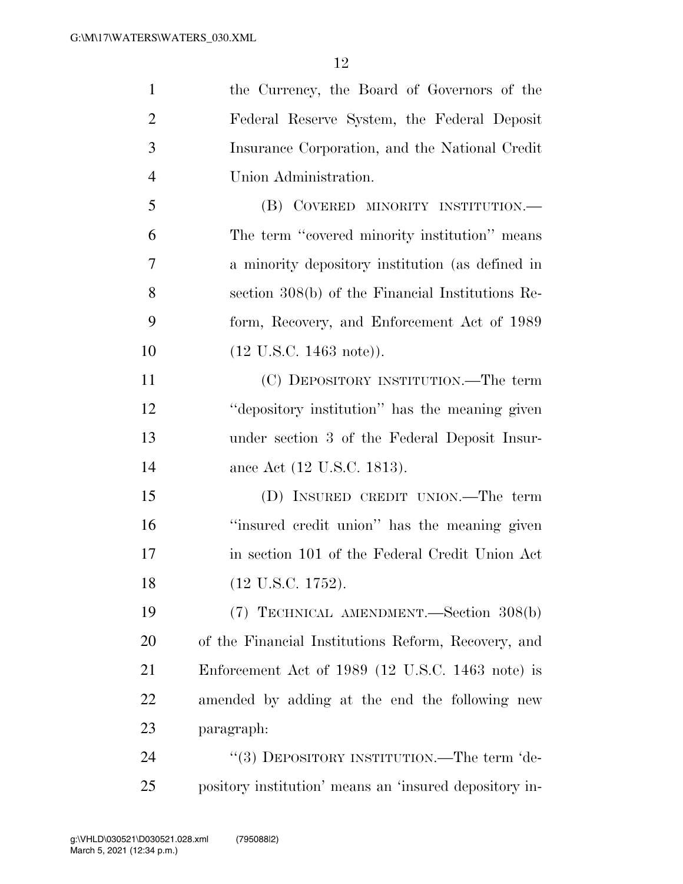| $\mathbf{1}$   | the Currency, the Board of Governors of the            |
|----------------|--------------------------------------------------------|
| $\overline{2}$ | Federal Reserve System, the Federal Deposit            |
| 3              | Insurance Corporation, and the National Credit         |
| $\overline{4}$ | Union Administration.                                  |
| 5              | (B) COVERED MINORITY INSTITUTION.—                     |
| 6              | The term "covered minority institution" means          |
| $\overline{7}$ | a minority depository institution (as defined in       |
| 8              | section 308(b) of the Financial Institutions Re-       |
| 9              | form, Recovery, and Enforcement Act of 1989            |
| 10             | $(12 \text{ U.S.C. } 1463 \text{ note})$ ).            |
| 11             | (C) DEPOSITORY INSTITUTION.—The term                   |
| 12             | "depository institution" has the meaning given         |
| 13             | under section 3 of the Federal Deposit Insur-          |
| 14             | ance Act (12 U.S.C. 1813).                             |
| 15             | (D) INSURED CREDIT UNION.—The term                     |
| 16             | "insured credit union" has the meaning given           |
| 17             | in section 101 of the Federal Credit Union Act         |
| 18             | (12 U.S.C. 1752).                                      |
| 19             | (7) TECHNICAL AMENDMENT.—Section 308(b)                |
| 20             | of the Financial Institutions Reform, Recovery, and    |
| 21             | Enforcement Act of 1989 (12 U.S.C. 1463 note) is       |
| 22             | amended by adding at the end the following new         |
| 23             | paragraph:                                             |
| 24             | "(3) DEPOSITORY INSTITUTION.—The term 'de-             |
| 25             | pository institution' means an 'insured depository in- |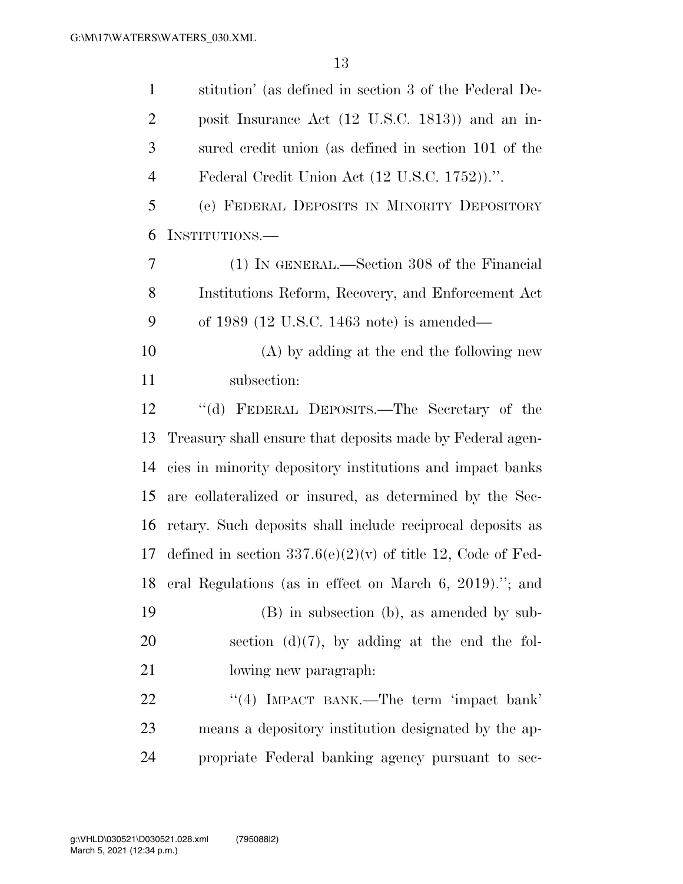| $\mathbf{1}$   | stitution' (as defined in section 3 of the Federal De-        |
|----------------|---------------------------------------------------------------|
| $\overline{2}$ | posit Insurance Act (12 U.S.C. 1813)) and an in-              |
| 3              | sured credit union (as defined in section 101 of the          |
| $\overline{4}$ | Federal Credit Union Act (12 U.S.C. 1752)).".                 |
| 5              | (e) FEDERAL DEPOSITS IN MINORITY DEPOSITORY                   |
| 6              | INSTITUTIONS.—                                                |
| 7              | (1) IN GENERAL.—Section 308 of the Financial                  |
| 8              | Institutions Reform, Recovery, and Enforcement Act            |
| 9              | of 1989 (12 U.S.C. 1463 note) is amended—                     |
| 10             | (A) by adding at the end the following new                    |
| 11             | subsection:                                                   |
| 12             | "(d) FEDERAL DEPOSITS.—The Secretary of the                   |
| 13             | Treasury shall ensure that deposits made by Federal agen-     |
| 14             | cies in minority depository institutions and impact banks     |
| 15             | are collateralized or insured, as determined by the Sec-      |
| 16             | retary. Such deposits shall include reciprocal deposits as    |
| 17             | defined in section $337.6(e)(2)(v)$ of title 12, Code of Fed- |
| 18             | eral Regulations (as in effect on March 6, 2019)."; and       |
| 19             | (B) in subsection (b), as amended by sub-                     |
| 20             | section $(d)(7)$ , by adding at the end the fol-              |
| 21             | lowing new paragraph.                                         |
| 22             | "(4) IMPACT BANK.—The term 'impact bank'                      |
| 23             | means a depository institution designated by the ap-          |
| 24             | propriate Federal banking agency pursuant to sec-             |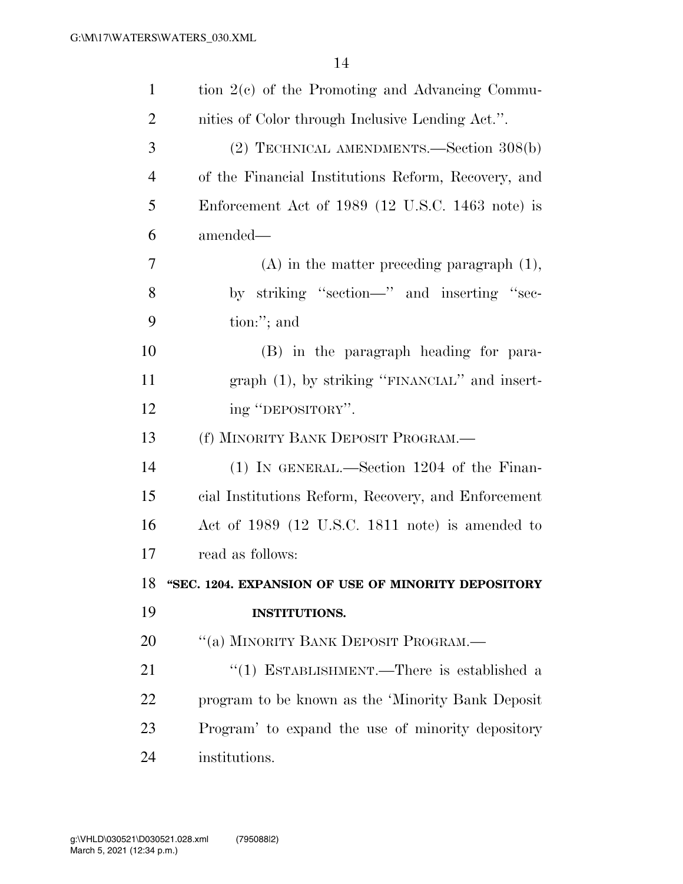| $\mathbf{1}$   | tion $2(e)$ of the Promoting and Advancing Commu-      |
|----------------|--------------------------------------------------------|
| $\overline{2}$ | nities of Color through Inclusive Lending Act.".       |
| 3              | (2) TECHNICAL AMENDMENTS.—Section 308(b)               |
| $\overline{4}$ | of the Financial Institutions Reform, Recovery, and    |
| 5              | Enforcement Act of 1989 (12 U.S.C. 1463 note) is       |
| 6              | amended—                                               |
| 7              | $(A)$ in the matter preceding paragraph $(1)$ ,        |
| 8              | by striking "section-" and inserting "sec-             |
| 9              | tion:"; and                                            |
| 10             | (B) in the paragraph heading for para-                 |
| 11             | $graph$ (1), by striking "FINANCIAL" and insert-       |
| 12             | ing "DEPOSITORY".                                      |
| 13             | (f) MINORITY BANK DEPOSIT PROGRAM.—                    |
|                |                                                        |
| 14             | $(1)$ IN GENERAL.—Section 1204 of the Finan-           |
| 15             | cial Institutions Reform, Recovery, and Enforcement    |
| 16             | Act of 1989 (12 U.S.C. 1811 note) is amended to        |
| 17             | read as follows:                                       |
|                | 18 "SEC. 1204. EXPANSION OF USE OF MINORITY DEPOSITORY |
| 19             | <b>INSTITUTIONS.</b>                                   |
| 20             | "(a) MINORITY BANK DEPOSIT PROGRAM.—                   |
| 21             | "(1) ESTABLISHMENT.—There is established a             |
| 22             | program to be known as the 'Minority Bank Deposit      |
| 23             | Program' to expand the use of minority depository      |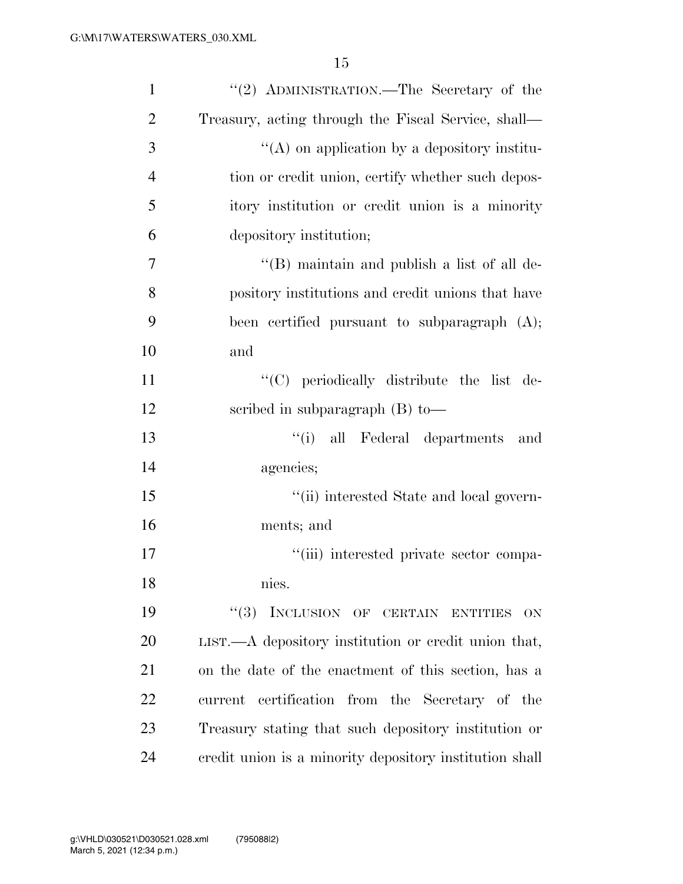| $\mathbf{1}$   | "(2) ADMINISTRATION.—The Secretary of the                |
|----------------|----------------------------------------------------------|
| $\overline{2}$ | Treasury, acting through the Fiscal Service, shall—      |
| 3              | $\lq\lq$ on application by a depository institu-         |
| $\overline{4}$ | tion or credit union, certify whether such depos-        |
| 5              | itory institution or credit union is a minority          |
| 6              | depository institution;                                  |
| 7              | "(B) maintain and publish a list of all de-              |
| 8              | pository institutions and credit unions that have        |
| 9              | been certified pursuant to subparagraph (A);             |
| 10             | and                                                      |
| 11             | "(C) periodically distribute the list de-                |
| 12             | scribed in subparagraph $(B)$ to —                       |
| 13             | "(i) all Federal departments<br>and                      |
| 14             | agencies;                                                |
| 15             | "(ii) interested State and local govern-                 |
| 16             | ments; and                                               |
| 17             | "(iii) interested private sector compa-                  |
| 18             | nies.                                                    |
| 19             | ``(3)<br>INCLUSION OF CERTAIN ENTITIES<br>ON.            |
| 20             | $LIST. - A$ depository institution or credit union that, |
| 21             | on the date of the enactment of this section, has a      |
| 22             | current certification from the Secretary of the          |
| 23             | Treasury stating that such depository institution or     |
| 24             | credit union is a minority depository institution shall  |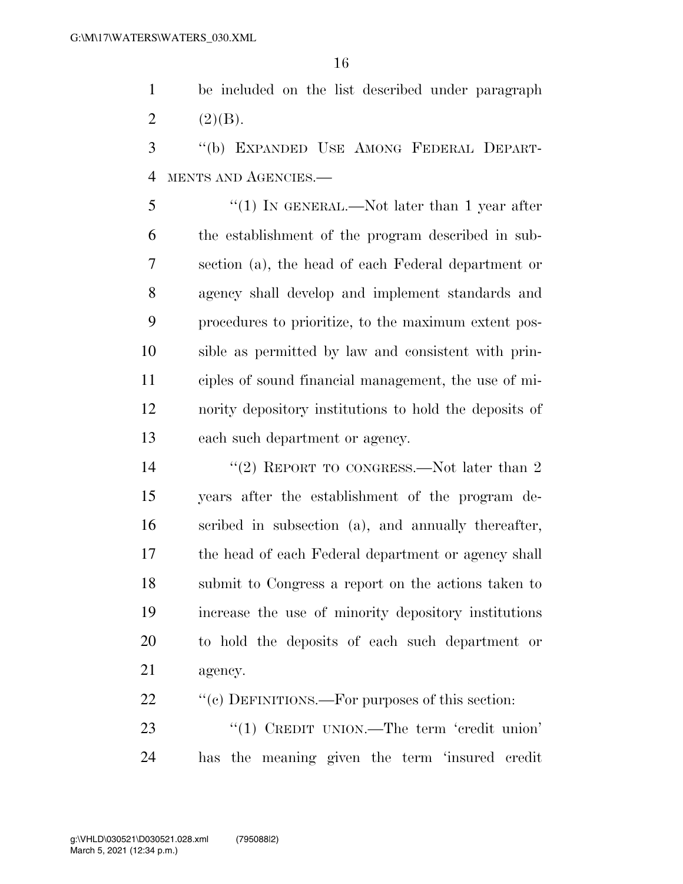be included on the list described under paragraph 2  $(2)(B)$ .

 ''(b) EXPANDED USE AMONG FEDERAL DEPART-MENTS AND AGENCIES.—

5 "(1) In GENERAL.—Not later than 1 year after the establishment of the program described in sub- section (a), the head of each Federal department or agency shall develop and implement standards and procedures to prioritize, to the maximum extent pos- sible as permitted by law and consistent with prin- ciples of sound financial management, the use of mi- nority depository institutions to hold the deposits of each such department or agency.

14 ''(2) REPORT TO CONGRESS.—Not later than 2 years after the establishment of the program de- scribed in subsection (a), and annually thereafter, the head of each Federal department or agency shall submit to Congress a report on the actions taken to increase the use of minority depository institutions to hold the deposits of each such department or agency.

22 ""(c) DEFINITIONS.—For purposes of this section:

23 "(1) CREDIT UNION.—The term 'credit union' has the meaning given the term 'insured credit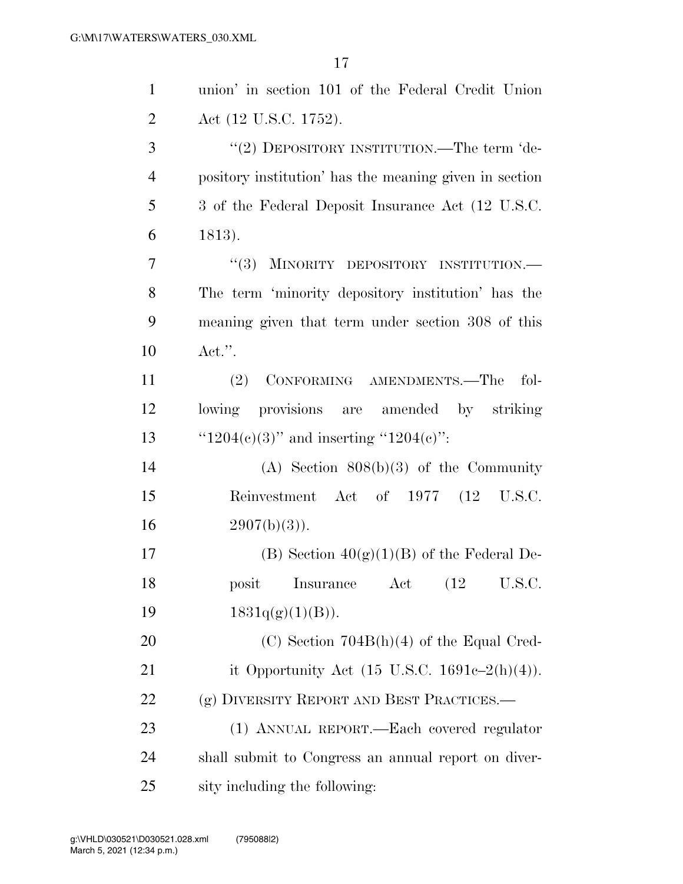| $\mathbf{1}$   | union' in section 101 of the Federal Credit Union        |
|----------------|----------------------------------------------------------|
| $\overline{2}$ | Act (12 U.S.C. 1752).                                    |
| 3              | "(2) DEPOSITORY INSTITUTION.—The term 'de-               |
| $\overline{4}$ | pository institution' has the meaning given in section   |
| 5              | 3 of the Federal Deposit Insurance Act (12 U.S.C.)       |
| 6              | 1813).                                                   |
| 7              | "(3) MINORITY DEPOSITORY INSTITUTION.-                   |
| 8              | The term 'minority depository institution' has the       |
| 9              | meaning given that term under section 308 of this        |
| 10             | $\text{Act."}.$                                          |
| 11             | CONFORMING AMENDMENTS.-The<br>(2)<br>fol-                |
| 12             | lowing provisions are amended by striking                |
| 13             | " $1204(e)(3)$ " and inserting " $1204(e)$ ":            |
| 14             | $(A)$ Section $808(b)(3)$ of the Community               |
| 15             | Reinvestment Act of 1977 (12 U.S.C.                      |
| 16             | $2907(b)(3)$ .                                           |
| 17             | (B) Section $40(g)(1)(B)$ of the Federal De-             |
| 18             | Insurance Act (12 U.S.C.<br>posit                        |
| 19             | $1831q(g)(1)(B)$ .                                       |
| 20             | $(C)$ Section 704B(h)(4) of the Equal Cred-              |
| 21             | it Opportunity Act $(15 \text{ U.S.C. } 1691c-2(h)(4)).$ |
| 22             | (g) DIVERSITY REPORT AND BEST PRACTICES.—                |
| 23             | (1) ANNUAL REPORT.—Each covered regulator                |
| 24             | shall submit to Congress an annual report on diver-      |
| 25             | sity including the following:                            |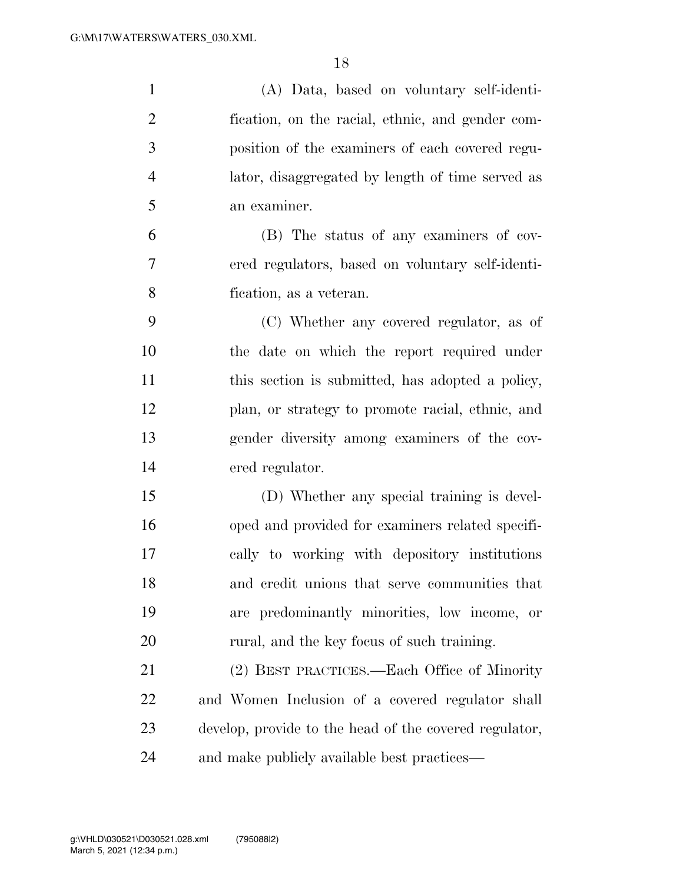| $\mathbf{1}$   | (A) Data, based on voluntary self-identi-              |
|----------------|--------------------------------------------------------|
| $\overline{2}$ | fication, on the racial, ethnic, and gender com-       |
| 3              | position of the examiners of each covered regu-        |
| $\overline{4}$ | lator, disaggregated by length of time served as       |
| 5              | an examiner.                                           |
| 6              | (B) The status of any examiners of cov-                |
| 7              | ered regulators, based on voluntary self-identi-       |
| 8              | fication, as a veteran.                                |
| 9              | (C) Whether any covered regulator, as of               |
| 10             | the date on which the report required under            |
| 11             | this section is submitted, has adopted a policy,       |
| 12             | plan, or strategy to promote racial, ethnic, and       |
| 13             | gender diversity among examiners of the cov-           |
| 14             | ered regulator.                                        |
| 15             | (D) Whether any special training is devel-             |
| 16             | oped and provided for examiners related specifi-       |
| 17             | cally to working with depository institutions          |
| 18             | and credit unions that serve communities that          |
| 19             | are predominantly minorities, low income, or           |
| 20             | rural, and the key focus of such training.             |
| 21             | (2) BEST PRACTICES.—Each Office of Minority            |
| 22             | and Women Inclusion of a covered regulator shall       |
| 23             | develop, provide to the head of the covered regulator, |
| 24             | and make publicly available best practices—            |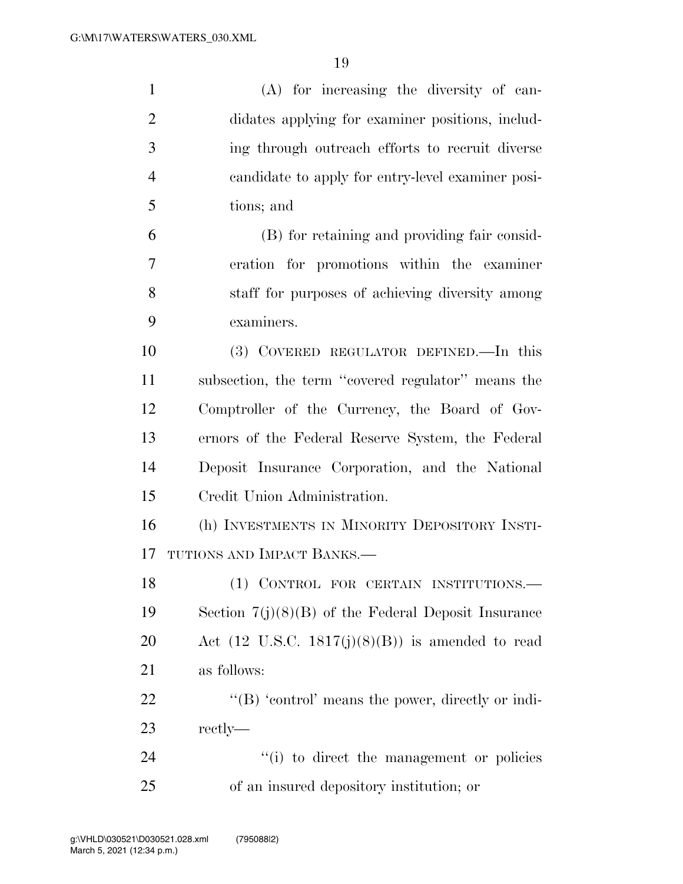| $\mathbf{1}$   | (A) for increasing the diversity of can-                    |
|----------------|-------------------------------------------------------------|
| $\overline{2}$ | didates applying for examiner positions, includ-            |
| 3              | ing through outreach efforts to recruit diverse             |
| $\overline{4}$ | candidate to apply for entry-level examiner posi-           |
| 5              | tions; and                                                  |
| 6              | (B) for retaining and providing fair consid-                |
| 7              | eration for promotions within the examiner                  |
| 8              | staff for purposes of achieving diversity among             |
| 9              | examiners.                                                  |
| 10             | (3) COVERED REGULATOR DEFINED.—In this                      |
| 11             | subsection, the term "covered regulator" means the          |
| 12             | Comptroller of the Currency, the Board of Gov-              |
| 13             | ernors of the Federal Reserve System, the Federal           |
| 14             | Deposit Insurance Corporation, and the National             |
| 15             | Credit Union Administration.                                |
| 16             | (h) INVESTMENTS IN MINORITY DEPOSITORY INSTI-               |
| 17             | TUTIONS AND IMPACT BANKS.-                                  |
| 18             | (1) CONTROL FOR CERTAIN INSTITUTIONS.                       |
| 19             | Section $7(j)(8)(B)$ of the Federal Deposit Insurance       |
| <b>20</b>      | Act $(12 \text{ U.S.C. } 1817(j)(8)(B))$ is amended to read |
| 21             | as follows:                                                 |
| 22             | " $(B)$ 'control' means the power, directly or indi-        |
| 23             | rectly—                                                     |
| 24             | "(i) to direct the management or policies                   |
| 25             | of an insured depository institution; or                    |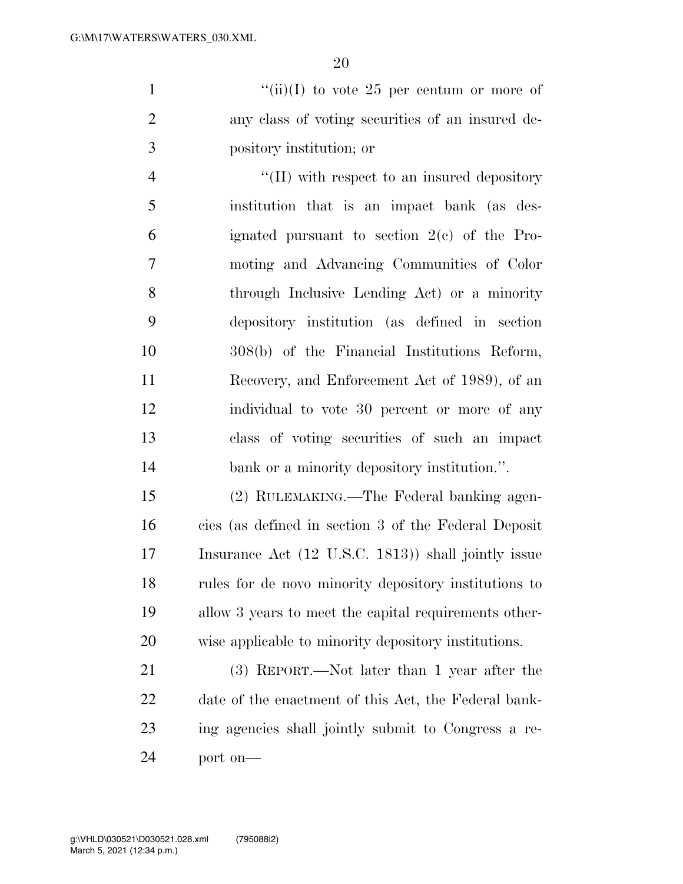1  $"(*ii*)(I)$  to vote 25 per centum or more of any class of voting securities of an insured de-pository institution; or

 $\lq(II)$  with respect to an insured depository institution that is an impact bank (as des- ignated pursuant to section 2(c) of the Pro- moting and Advancing Communities of Color through Inclusive Lending Act) or a minority depository institution (as defined in section 308(b) of the Financial Institutions Reform, Recovery, and Enforcement Act of 1989), of an individual to vote 30 percent or more of any class of voting securities of such an impact 14 bank or a minority depository institution.".

 (2) RULEMAKING.—The Federal banking agen- cies (as defined in section 3 of the Federal Deposit Insurance Act (12 U.S.C. 1813)) shall jointly issue rules for de novo minority depository institutions to allow 3 years to meet the capital requirements other-wise applicable to minority depository institutions.

 (3) REPORT.—Not later than 1 year after the date of the enactment of this Act, the Federal bank- ing agencies shall jointly submit to Congress a re-port on—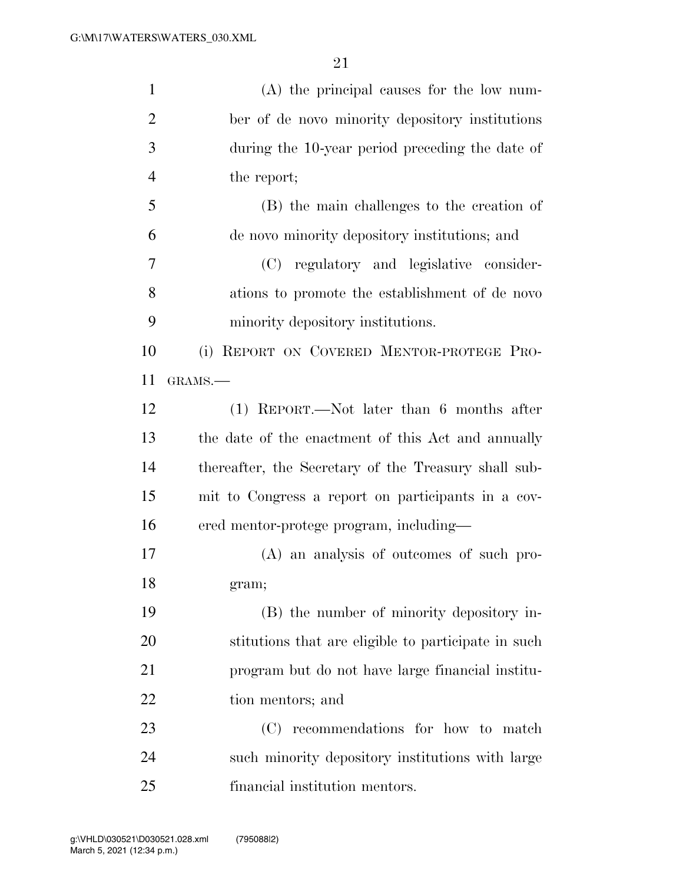| $\mathbf{1}$   | $(A)$ the principal causes for the low num-          |
|----------------|------------------------------------------------------|
| $\overline{2}$ | ber of de novo minority depository institutions      |
| 3              | during the 10-year period preceding the date of      |
| $\overline{4}$ | the report;                                          |
| 5              | (B) the main challenges to the creation of           |
| 6              | de novo minority depository institutions; and        |
| 7              | (C) regulatory and legislative consider-             |
| 8              | ations to promote the establishment of de novo       |
| 9              | minority depository institutions.                    |
| 10             | (i) REPORT ON COVERED MENTOR-PROTEGE PRO-            |
| 11             | GRAMS.-                                              |
| 12             | $(1)$ REPORT.—Not later than 6 months after          |
| 13             | the date of the enactment of this Act and annually   |
| 14             | thereafter, the Secretary of the Treasury shall sub- |
| 15             | mit to Congress a report on participants in a cov-   |
| 16             | ered mentor-protege program, including—              |
| 17             | (A) an analysis of outcomes of such pro-             |
| 18             | gram;                                                |
| 19             | (B) the number of minority depository in-            |
| 20             | stitutions that are eligible to participate in such  |
| 21             | program but do not have large financial institu-     |
| 22             | tion mentors; and                                    |
| 23             | recommendations for how to match<br>(C)              |
| 24             | such minority depository institutions with large     |
| 25             | financial institution mentors.                       |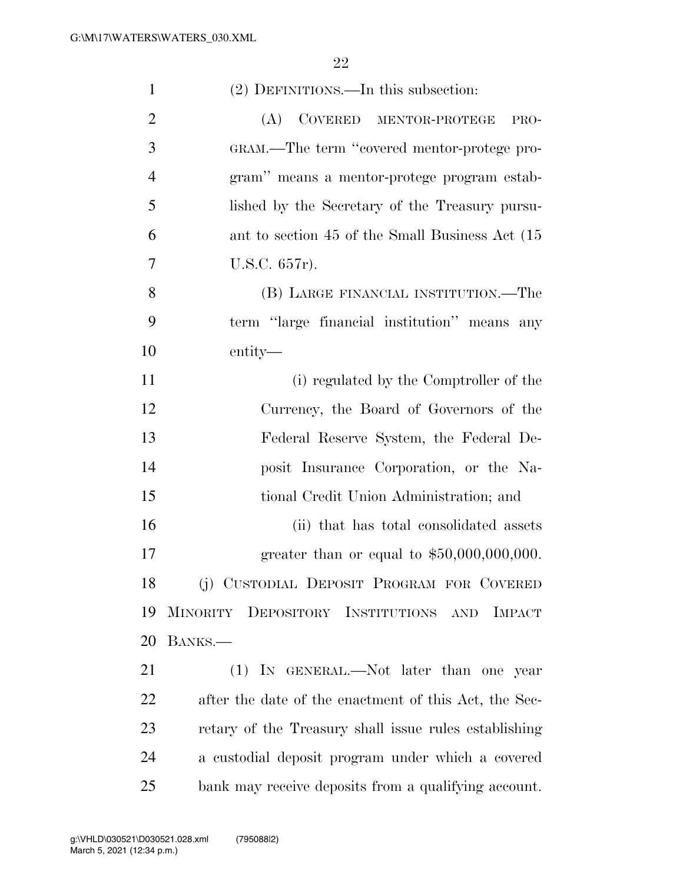| $\mathbf{1}$   | (2) DEFINITIONS.—In this subsection:                     |
|----------------|----------------------------------------------------------|
| $\overline{2}$ | (A)<br>COVERED MENTOR-PROTEGE<br>PRO-                    |
| 3              | GRAM.—The term "covered mentor-protege pro-              |
| $\overline{4}$ | gram" means a mentor-protege program estab-              |
| 5              | lished by the Secretary of the Treasury pursu-           |
| 6              | ant to section 45 of the Small Business Act (15)         |
| 7              | U.S.C. 657r).                                            |
| 8              | (B) LARGE FINANCIAL INSTITUTION.—The                     |
| 9              | term "large financial institution" means any             |
| 10             | entity—                                                  |
| 11             | (i) regulated by the Comptroller of the                  |
| 12             | Currency, the Board of Governors of the                  |
| 13             | Federal Reserve System, the Federal De-                  |
| 14             | posit Insurance Corporation, or the Na-                  |
| 15             | tional Credit Union Administration; and                  |
| 16             | (ii) that has total consolidated assets                  |
| 17             | greater than or equal to $$50,000,000,000$ .             |
| 18             | (j) CUSTODIAL DEPOSIT PROGRAM FOR COVERED                |
| 19             | MINORITY DEPOSITORY INSTITUTIONS<br><b>IMPACT</b><br>AND |
| 20             | BANKS.                                                   |
| 21             | (1) IN GENERAL.—Not later than one year                  |
| 22             | after the date of the enactment of this Act, the Sec-    |
| 23             | retary of the Treasury shall issue rules establishing    |
| 24             | a custodial deposit program under which a covered        |
| 25             | bank may receive deposits from a qualifying account.     |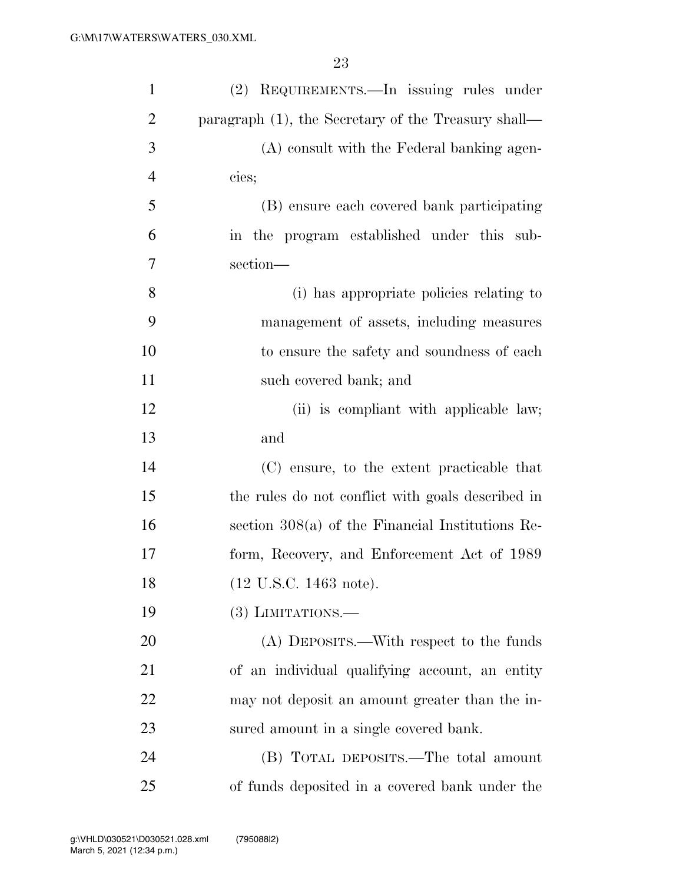| $\mathbf{1}$   | (2) REQUIREMENTS.—In issuing rules under            |
|----------------|-----------------------------------------------------|
| $\overline{2}$ | paragraph (1), the Secretary of the Treasury shall— |
| 3              | (A) consult with the Federal banking agen-          |
| $\overline{4}$ | cies;                                               |
| 5              | (B) ensure each covered bank participating          |
| 6              | in the program established under this sub-          |
| 7              | section-                                            |
| 8              | (i) has appropriate policies relating to            |
| 9              | management of assets, including measures            |
| 10             | to ensure the safety and soundness of each          |
| 11             | such covered bank; and                              |
| 12             | (ii) is compliant with applicable law;              |
| 13             | and                                                 |
| 14             | (C) ensure, to the extent practicable that          |
| 15             | the rules do not conflict with goals described in   |
| 16             | section $308(a)$ of the Financial Institutions Re-  |
| 17             | form, Recovery, and Enforcement Act of 1989         |
| 18             | (12 U.S.C. 1463 note).                              |
| 19             | $(3)$ LIMITATIONS.—                                 |
| 20             | (A) DEPOSITS.—With respect to the funds             |
| 21             | of an individual qualifying account, an entity      |
| 22             | may not deposit an amount greater than the in-      |
| 23             | sured amount in a single covered bank.              |
| 24             | (B) TOTAL DEPOSITS.—The total amount                |
| 25             | of funds deposited in a covered bank under the      |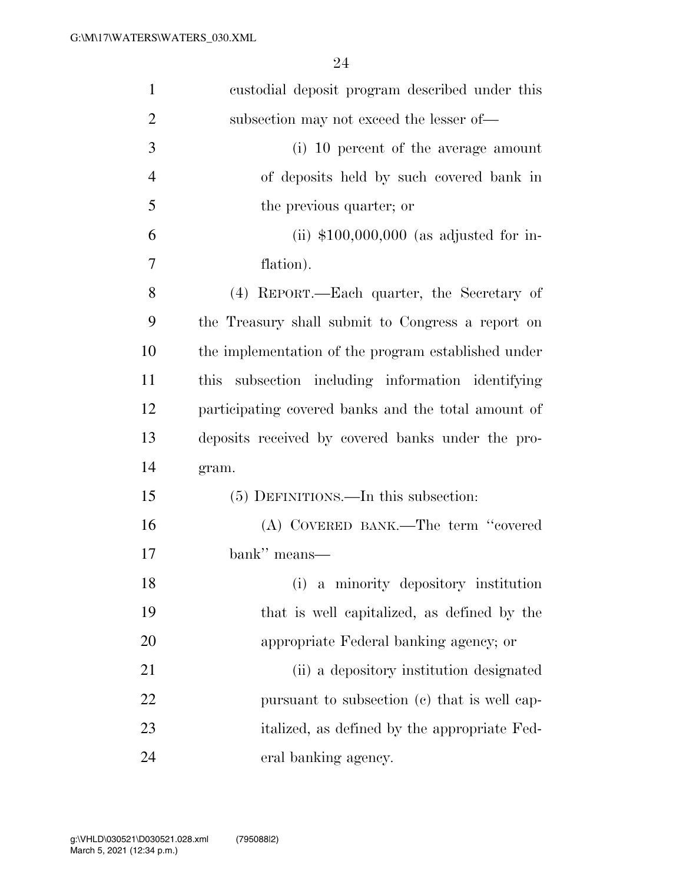| $\mathbf{1}$   | custodial deposit program described under this       |
|----------------|------------------------------------------------------|
| $\overline{2}$ | subsection may not exceed the lesser of—             |
| 3              | (i) 10 percent of the average amount                 |
| $\overline{4}$ | of deposits held by such covered bank in             |
| 5              | the previous quarter; or                             |
| 6              | (ii) $$100,000,000$ (as adjusted for in-             |
| 7              | flation).                                            |
| 8              | (4) REPORT.—Each quarter, the Secretary of           |
| 9              | the Treasury shall submit to Congress a report on    |
| 10             | the implementation of the program established under  |
| 11             | subsection including information identifying<br>this |
| 12             | participating covered banks and the total amount of  |
| 13             | deposits received by covered banks under the pro-    |
| 14             | gram.                                                |
| 15             | (5) DEFINITIONS.—In this subsection:                 |
| 16             | (A) COVERED BANK.—The term "covered                  |
| 17             | bank" means—                                         |
| 18             | a minority depository institution<br>(i)             |
| 19             | that is well capitalized, as defined by the          |
| 20             | appropriate Federal banking agency; or               |
| 21             | (ii) a depository institution designated             |
| 22             | pursuant to subsection (c) that is well cap-         |
| 23             | italized, as defined by the appropriate Fed-         |
| 24             | eral banking agency.                                 |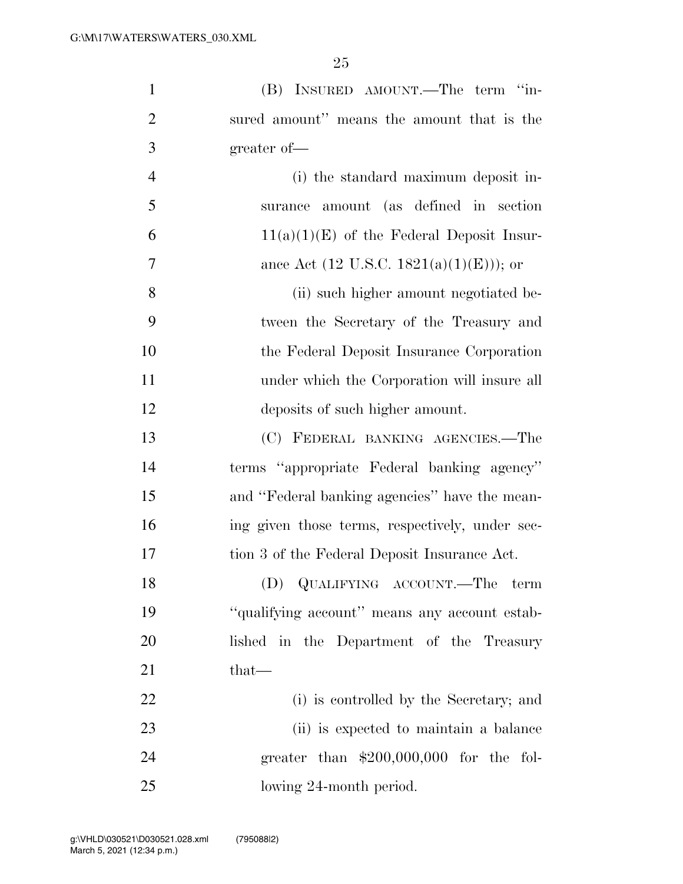| $\mathbf{1}$   | (B) INSURED AMOUNT.—The term "in-               |
|----------------|-------------------------------------------------|
| $\overline{2}$ | sured amount" means the amount that is the      |
| 3              | greater of-                                     |
| $\overline{4}$ | (i) the standard maximum deposit in-            |
| 5              | surance amount (as defined in section           |
| 6              | $11(a)(1)(E)$ of the Federal Deposit Insur-     |
| 7              | ance Act (12 U.S.C. 1821(a)(1)(E))); or         |
| 8              | (ii) such higher amount negotiated be-          |
| 9              | tween the Secretary of the Treasury and         |
| 10             | the Federal Deposit Insurance Corporation       |
| 11             | under which the Corporation will insure all     |
| 12             | deposits of such higher amount.                 |
| 13             | (C) FEDERAL BANKING AGENCIES.—The               |
| 14             | terms "appropriate Federal banking agency"      |
| 15             | and "Federal banking agencies" have the mean-   |
| 16             | ing given those terms, respectively, under sec- |
| 17             | tion 3 of the Federal Deposit Insurance Act.    |
| 18             | (D) QUALIFYING ACCOUNT.—The term                |
| 19             | "qualifying account" means any account estab-   |
| 20             | lished in the Department of the Treasury        |
| 21             | that—                                           |
| 22             | (i) is controlled by the Secretary; and         |
| 23             | (ii) is expected to maintain a balance          |
| 24             | greater than $$200,000,000$ for the fol-        |
| 25             | lowing 24-month period.                         |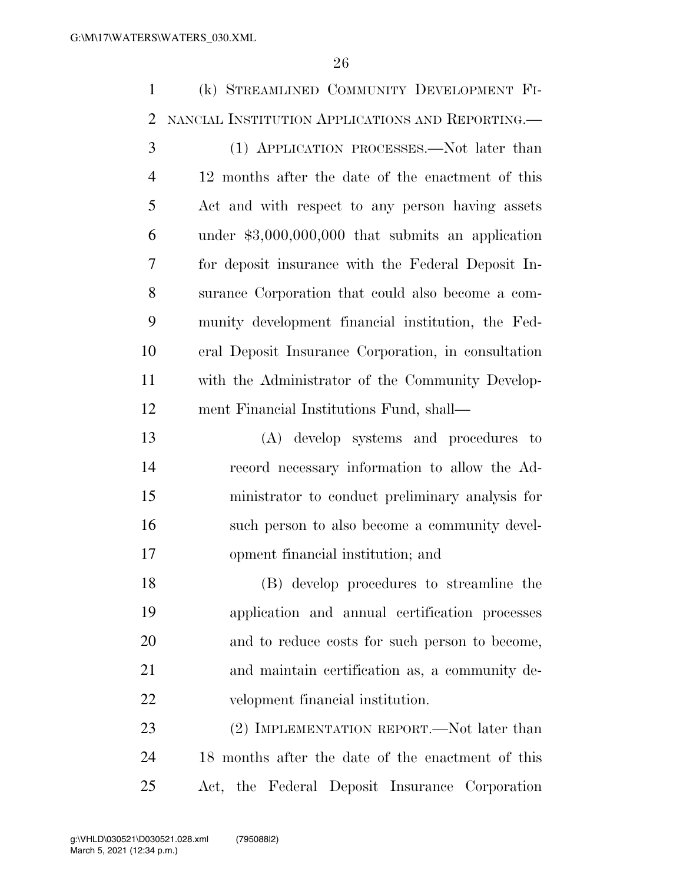(k) STREAMLINED COMMUNITY DEVELOPMENT FI- NANCIAL INSTITUTION APPLICATIONS AND REPORTING.— (1) APPLICATION PROCESSES.—Not later than 12 months after the date of the enactment of this Act and with respect to any person having assets under \$3,000,000,000 that submits an application for deposit insurance with the Federal Deposit In- surance Corporation that could also become a com- munity development financial institution, the Fed- eral Deposit Insurance Corporation, in consultation with the Administrator of the Community Develop- ment Financial Institutions Fund, shall— (A) develop systems and procedures to record necessary information to allow the Ad- ministrator to conduct preliminary analysis for such person to also become a community devel- opment financial institution; and (B) develop procedures to streamline the application and annual certification processes and to reduce costs for such person to become, and maintain certification as, a community de- velopment financial institution. 23 (2) IMPLEMENTATION REPORT.—Not later than 18 months after the date of the enactment of this

Act, the Federal Deposit Insurance Corporation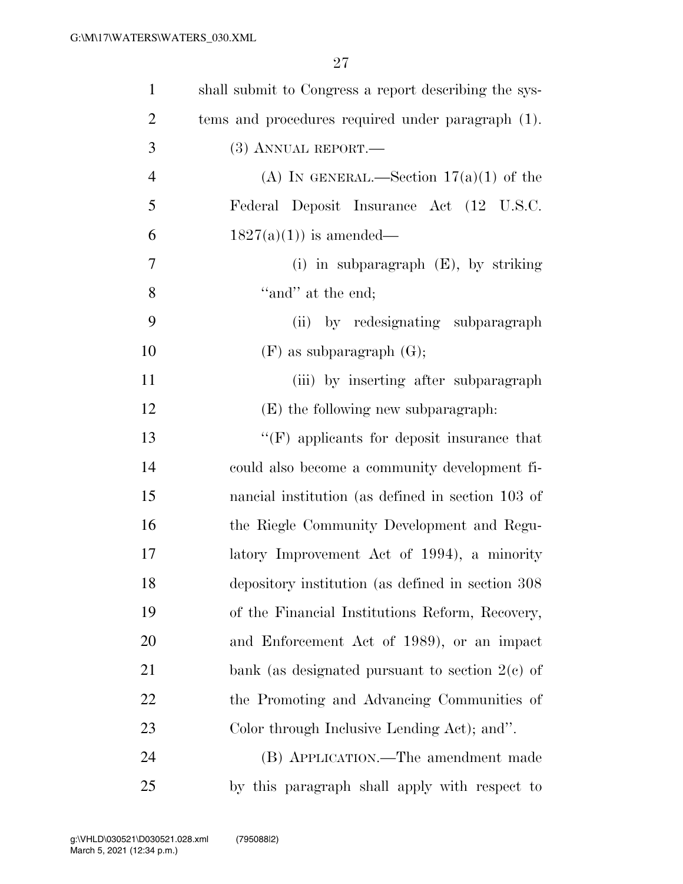| $\mathbf{1}$     | shall submit to Congress a report describing the sys- |
|------------------|-------------------------------------------------------|
| $\overline{2}$   | tems and procedures required under paragraph (1).     |
| 3                | (3) ANNUAL REPORT.—                                   |
| $\overline{4}$   | (A) IN GENERAL.—Section $17(a)(1)$ of the             |
| 5                | Federal Deposit Insurance Act (12 U.S.C.              |
| 6                | $1827(a)(1)$ is amended—                              |
| $\boldsymbol{7}$ | (i) in subparagraph $(E)$ , by striking               |
| 8                | "and" at the end;                                     |
| 9                | (ii) by redesignating subparagraph                    |
| 10               | $(F)$ as subparagraph $(G)$ ;                         |
| 11               | (iii) by inserting after subparagraph                 |
| 12               | (E) the following new subparagraph:                   |
| 13               | $\lq\lq(F)$ applicants for deposit insurance that     |
| 14               | could also become a community development fi-         |
| 15               | nancial institution (as defined in section 103 of     |
| 16               | the Riegle Community Development and Regu-            |
| $17\,$           | latory Improvement Act of 1994), a minority           |
| 18               | depository institution (as defined in section 308     |
| 19               | of the Financial Institutions Reform, Recovery,       |
| <b>20</b>        | and Enforcement Act of 1989), or an impact            |
| 21               | bank (as designated pursuant to section $2(e)$ of     |
| 22               | the Promoting and Advancing Communities of            |
| 23               | Color through Inclusive Lending Act); and".           |
| 24               | (B) APPLICATION.—The amendment made                   |
| 25               | by this paragraph shall apply with respect to         |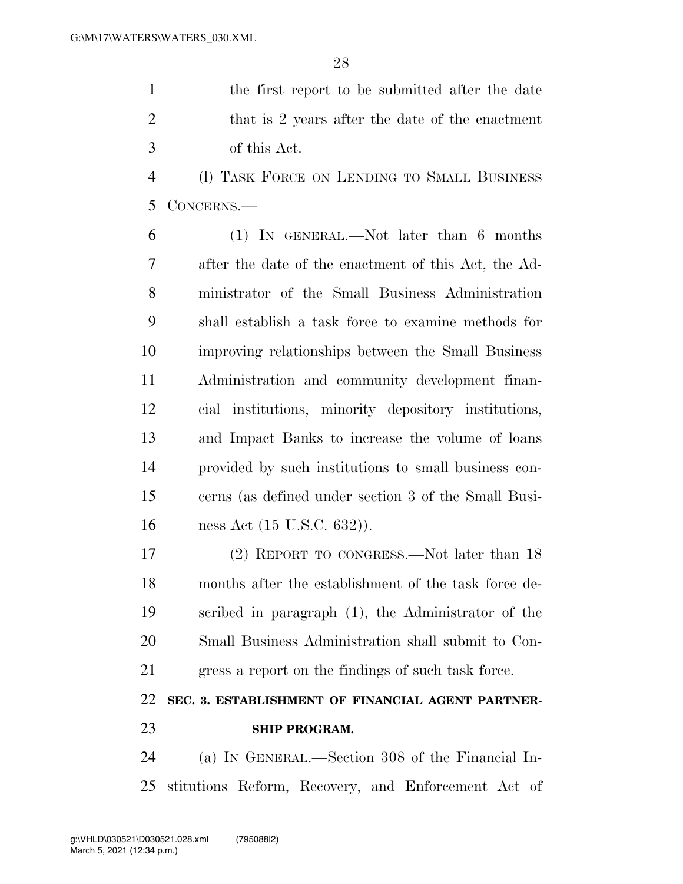the first report to be submitted after the date 2 that is 2 years after the date of the enactment of this Act.

 (l) TASK FORCE ON LENDING TO SMALL BUSINESS CONCERNS.—

 (1) IN GENERAL.—Not later than 6 months after the date of the enactment of this Act, the Ad- ministrator of the Small Business Administration shall establish a task force to examine methods for improving relationships between the Small Business Administration and community development finan- cial institutions, minority depository institutions, and Impact Banks to increase the volume of loans provided by such institutions to small business con- cerns (as defined under section 3 of the Small Busi-ness Act (15 U.S.C. 632)).

 (2) REPORT TO CONGRESS.—Not later than 18 months after the establishment of the task force de- scribed in paragraph (1), the Administrator of the Small Business Administration shall submit to Con-gress a report on the findings of such task force.

### **SEC. 3. ESTABLISHMENT OF FINANCIAL AGENT PARTNER-SHIP PROGRAM.**

 (a) IN GENERAL.—Section 308 of the Financial In-stitutions Reform, Recovery, and Enforcement Act of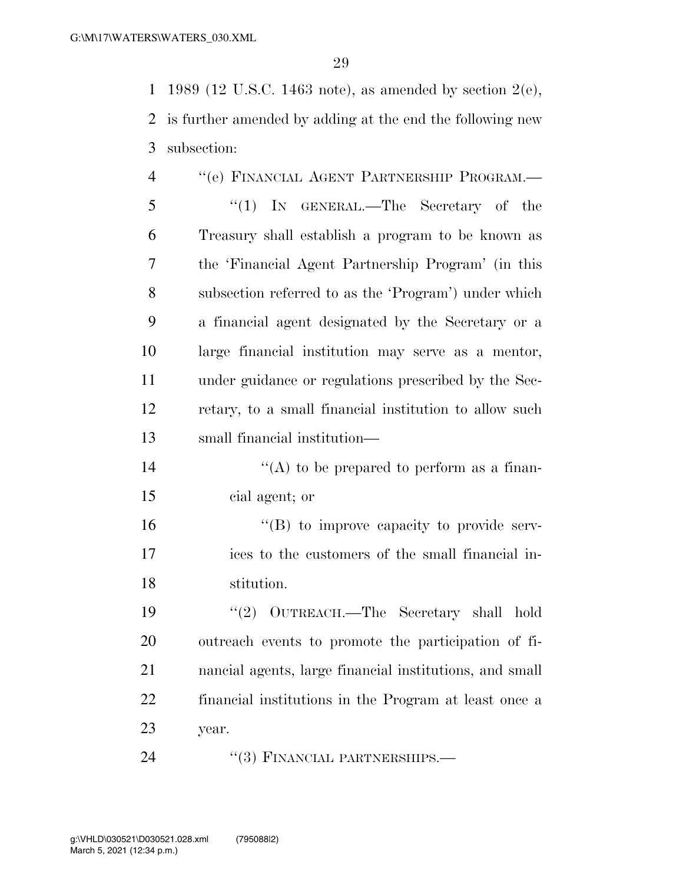1989 (12 U.S.C. 1463 note), as amended by section 2(e), is further amended by adding at the end the following new subsection:

| $\overline{4}$ | "(e) FINANCIAL AGENT PARTNERSHIP PROGRAM.-             |
|----------------|--------------------------------------------------------|
| 5              | "(1) IN GENERAL.—The Secretary of the                  |
| 6              | Treasury shall establish a program to be known as      |
| 7              | the 'Financial Agent Partnership Program' (in this     |
| 8              | subsection referred to as the 'Program') under which   |
| 9              | a financial agent designated by the Secretary or a     |
| 10             | large financial institution may serve as a mentor,     |
| 11             | under guidance or regulations prescribed by the Sec-   |
| 12             | retary, to a small financial institution to allow such |
| 13             | small financial institution—                           |
| 14             | "(A) to be prepared to perform as a finan-             |

cial agent; or

16  $"$ (B) to improve capacity to provide serv- ices to the customers of the small financial in-stitution.

 ''(2) OUTREACH.—The Secretary shall hold outreach events to promote the participation of fi- nancial agents, large financial institutions, and small financial institutions in the Program at least once a year.

24 ''(3) FINANCIAL PARTNERSHIPS.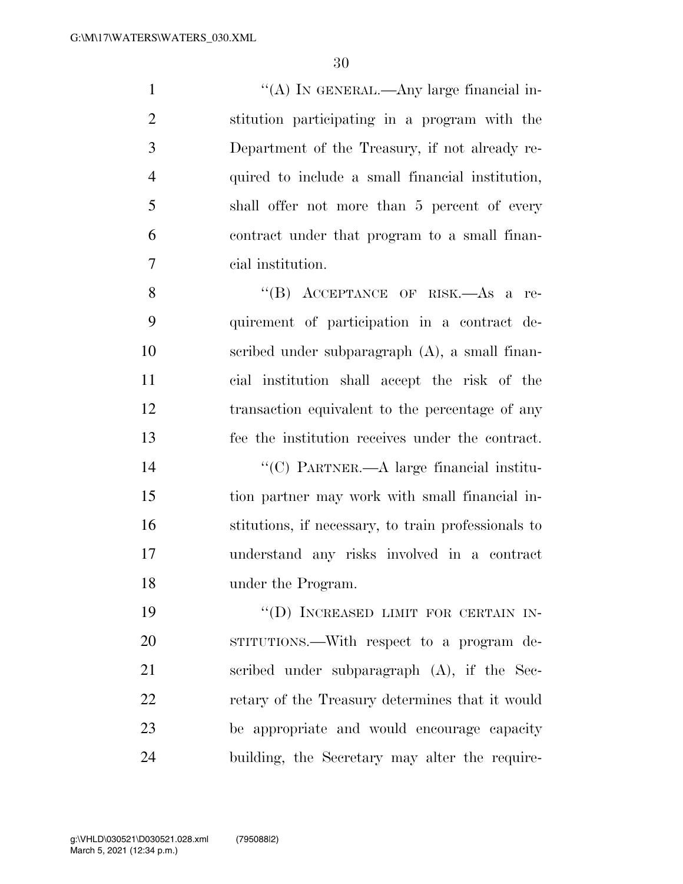$\langle (A) \rangle$  In GENERAL.—Any large financial in- stitution participating in a program with the Department of the Treasury, if not already re- quired to include a small financial institution, shall offer not more than 5 percent of every contract under that program to a small finan-cial institution.

8 "(B) ACCEPTANCE OF RISK.—As a re- quirement of participation in a contract de- scribed under subparagraph (A), a small finan- cial institution shall accept the risk of the transaction equivalent to the percentage of any fee the institution receives under the contract.

 ''(C) PARTNER.—A large financial institu- tion partner may work with small financial in- stitutions, if necessary, to train professionals to understand any risks involved in a contract under the Program.

19 "(D) INCREASED LIMIT FOR CERTAIN IN- STITUTIONS.—With respect to a program de- scribed under subparagraph (A), if the Sec-22 retary of the Treasury determines that it would be appropriate and would encourage capacity building, the Secretary may alter the require-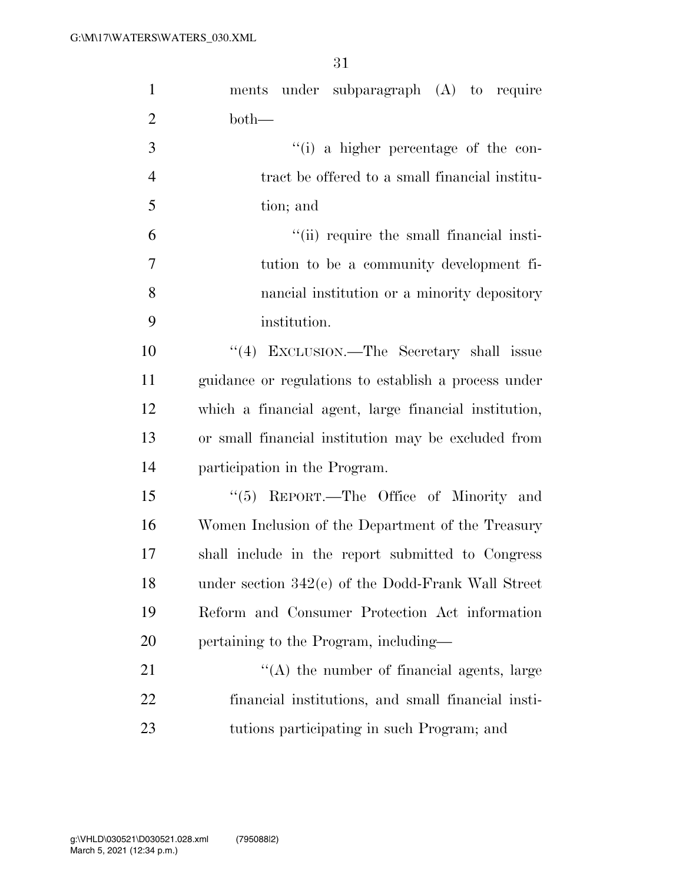| ments under subparagraph (A) to require               |
|-------------------------------------------------------|
| $both-$                                               |
| "(i) a higher percentage of the con-                  |
| tract be offered to a small financial institu-        |
| tion; and                                             |
| "(ii) require the small financial insti-              |
| tution to be a community development fi-              |
| nancial institution or a minority depository          |
| institution.                                          |
| "(4) EXCLUSION.—The Secretary shall issue             |
| guidance or regulations to establish a process under  |
| which a financial agent, large financial institution, |
| or small financial institution may be excluded from   |
| participation in the Program.                         |
| " $(5)$ REPORT.—The Office of Minority and            |
| Women Inclusion of the Department of the Treasury     |
| shall include in the report submitted to Congress     |
| under section 342(e) of the Dodd-Frank Wall Street    |
| Reform and Consumer Protection Act information        |
| pertaining to the Program, including—                 |
| $\lq\lq$ the number of financial agents, large        |
| financial institutions, and small financial insti-    |
| tutions participating in such Program; and            |
|                                                       |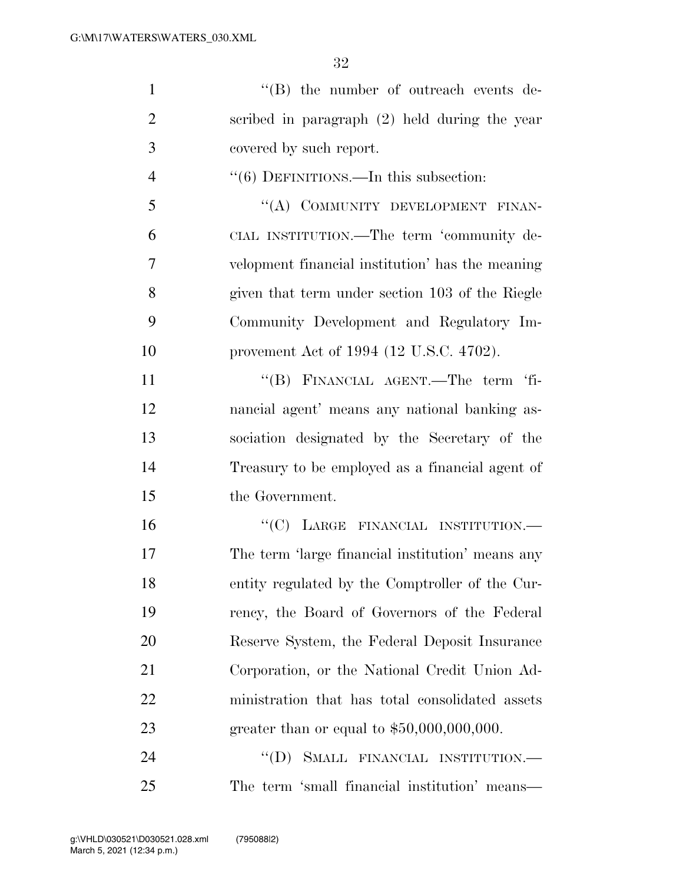| "(B) the number of outreach events de-           |
|--------------------------------------------------|
| scribed in paragraph $(2)$ held during the year  |
| covered by such report.                          |
| "(6) DEFINITIONS.—In this subsection:            |
| "(A) COMMUNITY DEVELOPMENT FINAN-                |
| CIAL INSTITUTION.—The term 'community de-        |
| velopment financial institution' has the meaning |
| given that term under section 103 of the Riegle  |
| Community Development and Regulatory Im-         |
| provement Act of 1994 (12 U.S.C. 4702).          |
| "(B) FINANCIAL AGENT.—The term 'fi-              |
| nancial agent' means any national banking as-    |
| sociation designated by the Secretary of the     |
| Treasury to be employed as a financial agent of  |
| the Government.                                  |
| "(C) LARGE FINANCIAL INSTITUTION.-               |
| The term 'large financial institution' means any |
| entity regulated by the Comptroller of the Cur-  |
| rency, the Board of Governors of the Federal     |
| Reserve System, the Federal Deposit Insurance    |
|                                                  |
| Corporation, or the National Credit Union Ad-    |
| ministration that has total consolidated assets  |
| greater than or equal to $$50,000,000,000$ .     |
|                                                  |

The term 'small financial institution' means—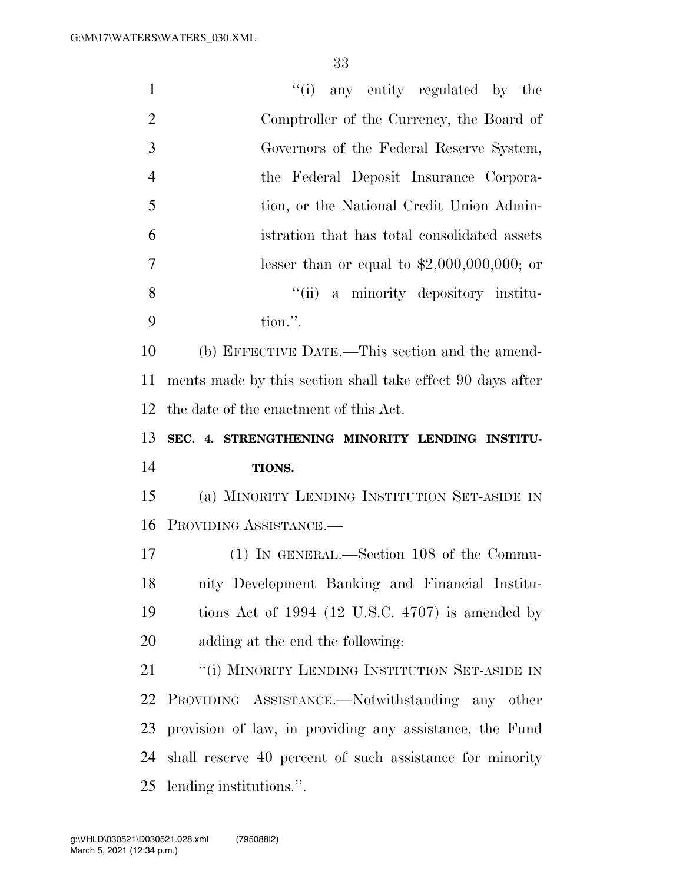| $\mathbf{1}$   | "(i) any entity regulated by the                           |
|----------------|------------------------------------------------------------|
| $\overline{2}$ | Comptroller of the Currency, the Board of                  |
| 3              | Governors of the Federal Reserve System,                   |
| $\overline{4}$ | the Federal Deposit Insurance Corpora-                     |
| 5              | tion, or the National Credit Union Admin-                  |
| 6              | istration that has total consolidated assets               |
| $\overline{7}$ | lesser than or equal to $$2,000,000,000;$ or               |
| 8              | ``(ii)<br>a minority depository institu-                   |
| 9              | tion.".                                                    |
| 10             | (b) EFFECTIVE DATE.—This section and the amend-            |
| 11             | ments made by this section shall take effect 90 days after |
| 12             | the date of the enactment of this Act.                     |
|                |                                                            |
| 13             | SEC. 4. STRENGTHENING MINORITY LENDING INSTITU-            |
| 14             | TIONS.                                                     |
| 15             | (a) MINORITY LENDING INSTITUTION SET-ASIDE IN              |
| 16             | PROVIDING ASSISTANCE.-                                     |
| 17             | $(1)$ In GENERAL.—Section 108 of the Commu-                |
| 18             | nity Development Banking and Financial Institu-            |
| 19             | tions Act of $1994$ (12 U.S.C. 4707) is amended by         |
| 20             | adding at the end the following:                           |
| 21             | "(i) MINORITY LENDING INSTITUTION SET-ASIDE IN             |
| 22             | PROVIDING ASSISTANCE.—Notwithstanding any other            |
| 23             | provision of law, in providing any assistance, the Fund    |
| 24             | shall reserve 40 percent of such assistance for minority   |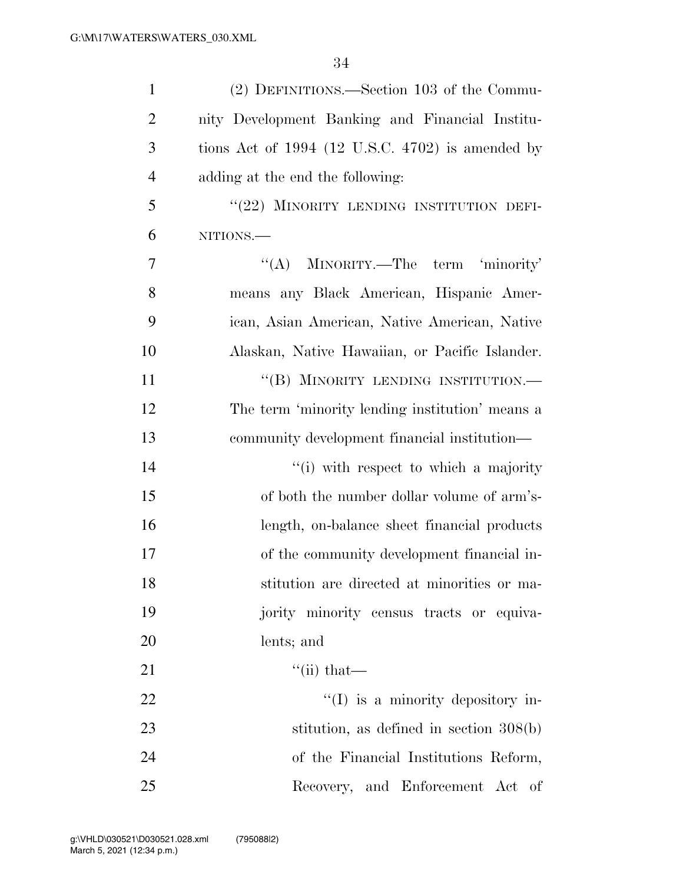| $\mathbf{1}$   | (2) DEFINITIONS.—Section 103 of the Commu-         |
|----------------|----------------------------------------------------|
| $\overline{2}$ | nity Development Banking and Financial Institu-    |
| 3              | tions Act of $1994$ (12 U.S.C. 4702) is amended by |
| $\overline{4}$ | adding at the end the following:                   |
| 5              | "(22) MINORITY LENDING INSTITUTION DEFI-           |
| 6              | NITIONS.                                           |
| $\overline{7}$ | "(A) MINORITY.—The term 'minority'                 |
| 8              | means any Black American, Hispanic Amer-           |
| 9              | ican, Asian American, Native American, Native      |
| 10             | Alaskan, Native Hawaiian, or Pacific Islander.     |
| 11             | "(B) MINORITY LENDING INSTITUTION.-                |
| 12             | The term 'minority lending institution' means a    |
| 13             | community development financial institution—       |
| 14             | "(i) with respect to which a majority              |
| 15             | of both the number dollar volume of arm's-         |
| 16             | length, on-balance sheet financial products        |
| 17             | of the community development financial in-         |
| 18             | stitution are directed at minorities or ma-        |
| 19             | jority minority census tracts or equiva-           |
| 20             | lents; and                                         |
| 21             | $\lq$ <sup>"</sup> (ii) that—                      |
| 22             | $\lq\lq$ (I) is a minority depository in-          |
| 23             | stitution, as defined in section $308(b)$          |
| 24             | of the Financial Institutions Reform,              |
| 25             | Recovery, and Enforcement Act of                   |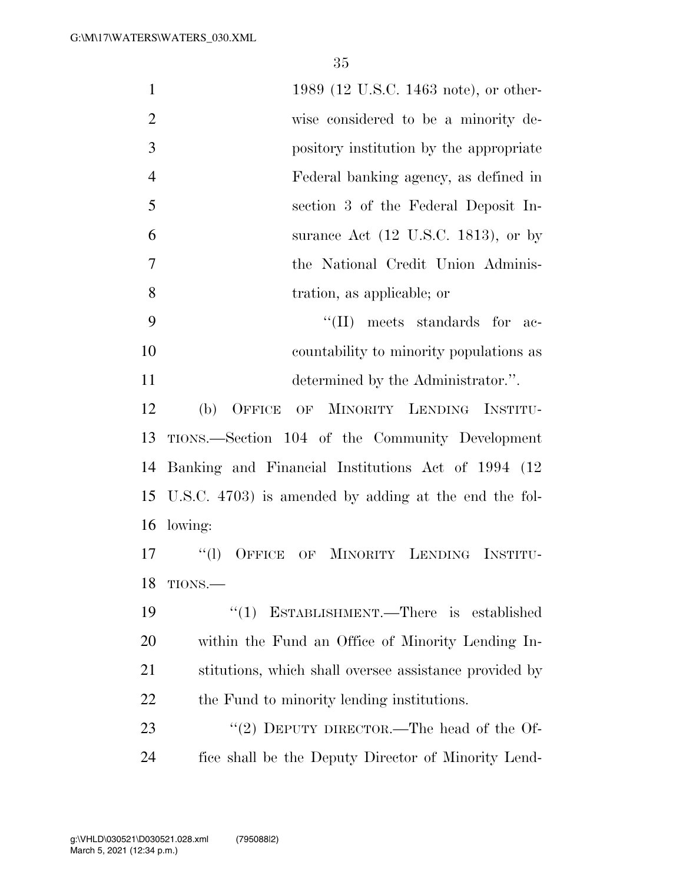| $\mathbf{1}$   | 1989 (12 U.S.C. 1463 note), or other-                  |
|----------------|--------------------------------------------------------|
| $\overline{2}$ | wise considered to be a minority de-                   |
| 3              | pository institution by the appropriate                |
| $\overline{4}$ | Federal banking agency, as defined in                  |
| 5              | section 3 of the Federal Deposit In-                   |
| 6              | surance Act $(12 \text{ U.S.C. } 1813)$ , or by        |
| $\overline{7}$ | the National Credit Union Adminis-                     |
| 8              | tration, as applicable; or                             |
| 9              | $\lq\lq$ (II) meets standards for<br>$-ac-$            |
| 10             | countability to minority populations as                |
| 11             | determined by the Administrator.".                     |
| 12             | (b)<br>OFFICE OF MINORITY LENDING INSTITU-             |
| 13             | TIONS.—Section 104 of the Community Development        |
| 14             | Banking and Financial Institutions Act of 1994 (12)    |
| 15             | U.S.C. 4703) is amended by adding at the end the fol-  |
| 16             | lowing:                                                |
| 17             | ``(1)<br>OF MINORITY LENDING INSTITU-<br>OFFICE        |
| 18             | TIONS.                                                 |
| 19             | " $(1)$ ESTABLISHMENT.—There is established            |
| <b>20</b>      | within the Fund an Office of Minority Lending In-      |
| 21             | stitutions, which shall oversee assistance provided by |
| <u>22</u>      | the Fund to minority lending institutions.             |
| 23             | "(2) DEPUTY DIRECTOR.—The head of the Of-              |
| 24             | fice shall be the Deputy Director of Minority Lend-    |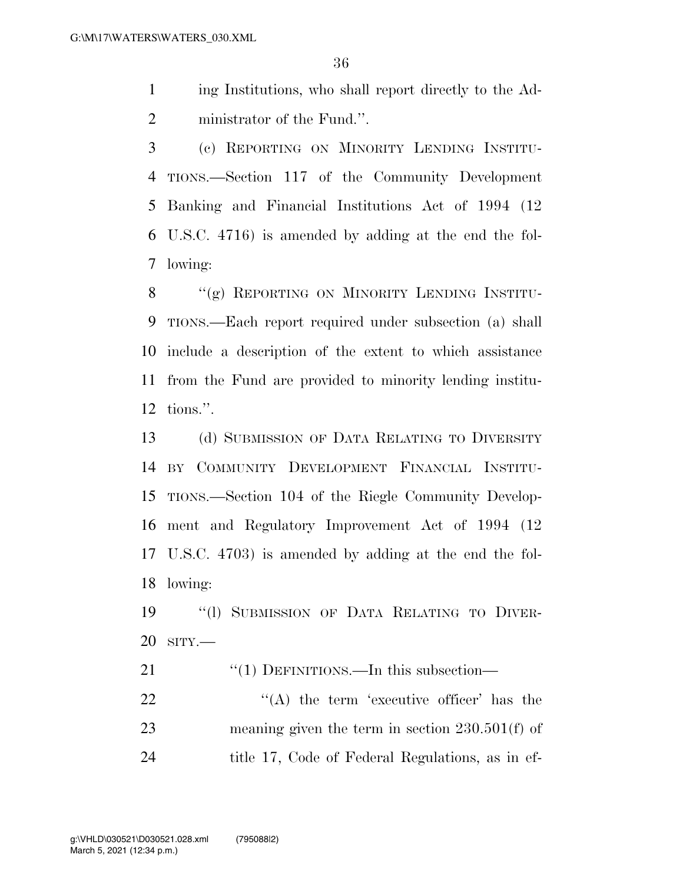ing Institutions, who shall report directly to the Ad-ministrator of the Fund.''.

 (c) REPORTING ON MINORITY LENDING INSTITU- TIONS.—Section 117 of the Community Development Banking and Financial Institutions Act of 1994 (12 U.S.C. 4716) is amended by adding at the end the fol-lowing:

8 "(g) REPORTING ON MINORITY LENDING INSTITU- TIONS.—Each report required under subsection (a) shall include a description of the extent to which assistance from the Fund are provided to minority lending institu-tions.''.

 (d) SUBMISSION OF DATA RELATING TO DIVERSITY BY COMMUNITY DEVELOPMENT FINANCIAL INSTITU- TIONS.—Section 104 of the Riegle Community Develop- ment and Regulatory Improvement Act of 1994 (12 U.S.C. 4703) is amended by adding at the end the fol-lowing:

 ''(l) SUBMISSION OF DATA RELATING TO DIVER-SITY.—

21 "(1) DEFINITIONS.—In this subsection—

22  $\langle (A)$  the term 'executive officer' has the meaning given the term in section 230.501(f) of title 17, Code of Federal Regulations, as in ef-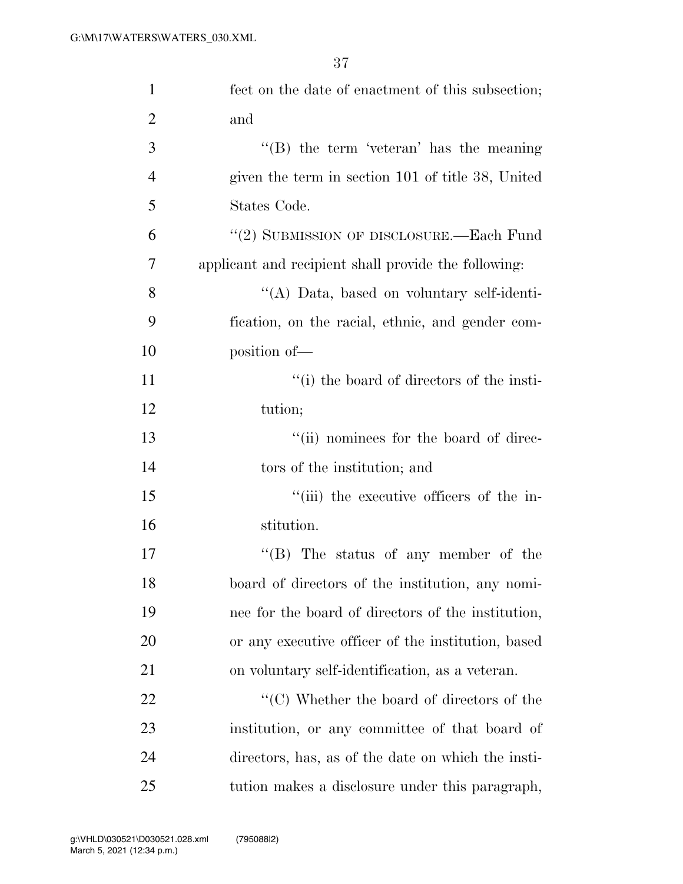| $\mathbf{1}$   | fect on the date of enactment of this subsection;               |
|----------------|-----------------------------------------------------------------|
| $\overline{2}$ | and                                                             |
| 3              | $\lq\lq (B)$ the term 'veteran' has the meaning                 |
| $\overline{4}$ | given the term in section 101 of title 38, United               |
| 5              | States Code.                                                    |
| 6              | "(2) SUBMISSION OF DISCLOSURE.—Each Fund                        |
| 7              | applicant and recipient shall provide the following:            |
| 8              | "(A) Data, based on voluntary self-identi-                      |
| 9              | fication, on the racial, ethnic, and gender com-                |
| 10             | position of-                                                    |
| 11             | "(i) the board of directors of the insti-                       |
| 12             | tution;                                                         |
| 13             | "(ii) nominees for the board of direc-                          |
| 14             | tors of the institution; and                                    |
| 15             | "(iii) the executive officers of the in-                        |
| 16             | stitution.                                                      |
| 17             | $\lq\lq (B)$ The status of any member of the                    |
| 18             | board of directors of the institution, any nomi-                |
| 19             | nee for the board of directors of the institution,              |
| 20             | or any executive officer of the institution, based              |
| 21             | on voluntary self-identification, as a veteran.                 |
| 22             | $\lq\lq$ <sup>"</sup> (C) Whether the board of directors of the |
| 23             | institution, or any committee of that board of                  |
| 24             | directors, has, as of the date on which the insti-              |
| 25             | tution makes a disclosure under this paragraph,                 |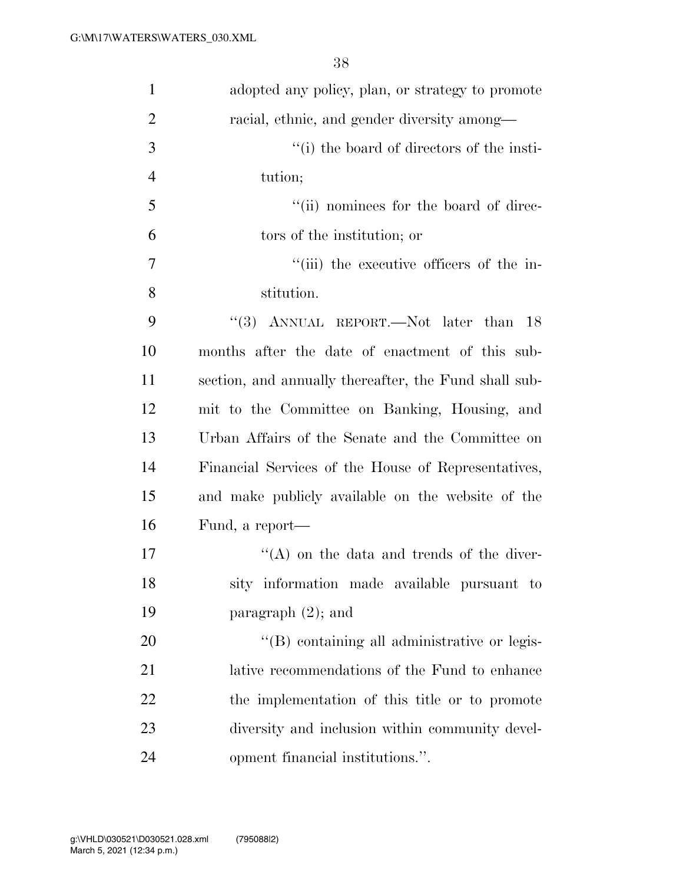| $\mathbf{1}$   | adopted any policy, plan, or strategy to promote      |
|----------------|-------------------------------------------------------|
| $\overline{2}$ | racial, ethnic, and gender diversity among—           |
| 3              | "(i) the board of directors of the insti-             |
| $\overline{4}$ | tution;                                               |
| 5              | "(ii) nominees for the board of direc-                |
| 6              | tors of the institution; or                           |
| 7              | "(iii) the executive officers of the in-              |
| 8              | stitution.                                            |
| 9              | "(3) ANNUAL REPORT.—Not later than<br>-18             |
| 10             | months after the date of enactment of this sub-       |
| 11             | section, and annually thereafter, the Fund shall sub- |
| 12             | mit to the Committee on Banking, Housing, and         |
| 13             | Urban Affairs of the Senate and the Committee on      |
| 14             | Financial Services of the House of Representatives,   |
| 15             | and make publicly available on the website of the     |
| 16             | Fund, a report—                                       |
| 17             | "(A) on the data and trends of the diver-             |
| 18             | sity information made available pursuant to           |
| 19             | paragraph $(2)$ ; and                                 |
| 20             | "(B) containing all administrative or legis-          |
| 21             | lative recommendations of the Fund to enhance         |
| 22             | the implementation of this title or to promote        |
| 23             | diversity and inclusion within community devel-       |
| 24             | opment financial institutions.".                      |